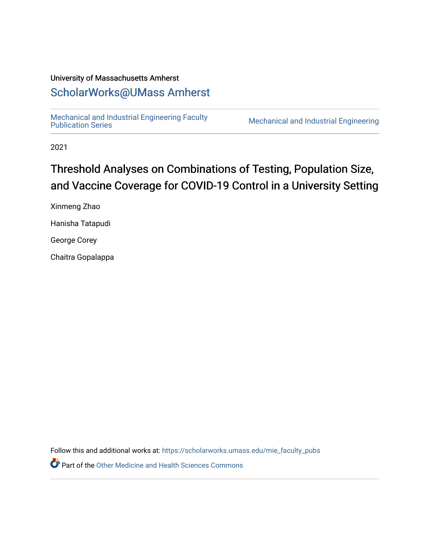# University of Massachusetts Amherst

# [ScholarWorks@UMass Amherst](https://scholarworks.umass.edu/)

[Mechanical and Industrial Engineering Faculty](https://scholarworks.umass.edu/mie_faculty_pubs) 

Mechanical and Industrial Engineering

2021

# Threshold Analyses on Combinations of Testing, Population Size, and Vaccine Coverage for COVID-19 Control in a University Setting

Xinmeng Zhao

Hanisha Tatapudi

George Corey

Chaitra Gopalappa

Follow this and additional works at: [https://scholarworks.umass.edu/mie\\_faculty\\_pubs](https://scholarworks.umass.edu/mie_faculty_pubs?utm_source=scholarworks.umass.edu%2Fmie_faculty_pubs%2F642&utm_medium=PDF&utm_campaign=PDFCoverPages)

**P** Part of the [Other Medicine and Health Sciences Commons](https://network.bepress.com/hgg/discipline/772?utm_source=scholarworks.umass.edu%2Fmie_faculty_pubs%2F642&utm_medium=PDF&utm_campaign=PDFCoverPages)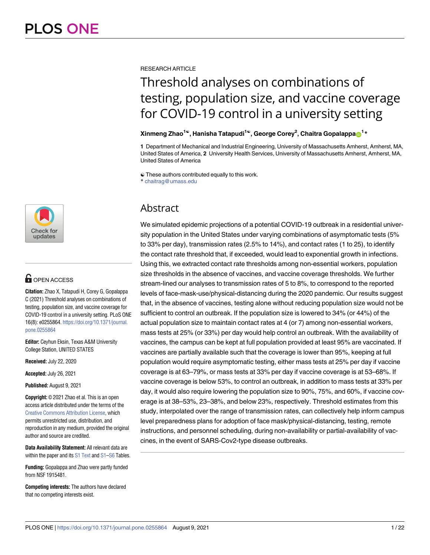

# **OPEN ACCESS**

**Citation:** Zhao X, Tatapudi H, Corey G, Gopalappa C (2021) Threshold analyses on combinations of testing, population size, and vaccine coverage for COVID-19 control in a university setting. PLoS ONE 16(8): e0255864. [https://doi.org/10.1371/journal.](https://doi.org/10.1371/journal.pone.0255864) [pone.0255864](https://doi.org/10.1371/journal.pone.0255864)

**Editor:** Ceyhun Eksin, Texas A&M University College Station, UNITED STATES

**Received:** July 22, 2020

**Accepted:** July 26, 2021

**Published:** August 9, 2021

**Copyright:** © 2021 Zhao et al. This is an open access article distributed under the terms of the Creative Commons [Attribution](http://creativecommons.org/licenses/by/4.0/) License, which permits unrestricted use, distribution, and reproduction in any medium, provided the original author and source are credited.

**Data Availability Statement:** All relevant data are within the paper and its S1 [Text](#page-18-0) and S1-S6 Tables.

**Funding:** Gopalappa and Zhao were partly funded from NSF 1915481.

**Competing interests:** The authors have declared that no competing interests exist.

RESEARCH ARTICLE

# Threshold analyses on combinations of testing, population size, and vaccine coverage for COVID-19 control in a university setting

# **Xinmeng Zhao1**☯**, Hanisha Tatapudi1**☯**, George Corey2 , Chaitra Gopalappa[ID1](https://orcid.org/0000-0001-8384-6041) \***

**1** Department of Mechanical and Industrial Engineering, University of Massachusetts Amherst, Amherst, MA, United States of America, **2** University Health Services, University of Massachusetts Amherst, Amherst, MA, United States of America

☯ These authors contributed equally to this work.

\* chaitrag@umass.edu

# Abstract

We simulated epidemic projections of a potential COVID-19 outbreak in a residential university population in the United States under varying combinations of asymptomatic tests (5% to 33% per day), transmission rates (2.5% to 14%), and contact rates (1 to 25), to identify the contact rate threshold that, if exceeded, would lead to exponential growth in infections. Using this, we extracted contact rate thresholds among non-essential workers, population size thresholds in the absence of vaccines, and vaccine coverage thresholds. We further stream-lined our analyses to transmission rates of 5 to 8%, to correspond to the reported levels of face-mask-use/physical-distancing during the 2020 pandemic. Our results suggest that, in the absence of vaccines, testing alone without reducing population size would not be sufficient to control an outbreak. If the population size is lowered to 34% (or 44%) of the actual population size to maintain contact rates at 4 (or 7) among non-essential workers, mass tests at 25% (or 33%) per day would help control an outbreak. With the availability of vaccines, the campus can be kept at full population provided at least 95% are vaccinated. If vaccines are partially available such that the coverage is lower than 95%, keeping at full population would require asymptomatic testing, either mass tests at 25% per day if vaccine coverage is at 63–79%, or mass tests at 33% per day if vaccine coverage is at 53–68%. If vaccine coverage is below 53%, to control an outbreak, in addition to mass tests at 33% per day, it would also require lowering the population size to 90%, 75%, and 60%, if vaccine coverage is at 38–53%, 23–38%, and below 23%, respectively. Threshold estimates from this study, interpolated over the range of transmission rates, can collectively help inform campus level preparedness plans for adoption of face mask/physical-distancing, testing, remote instructions, and personnel scheduling, during non-availability or partial-availability of vaccines, in the event of SARS-Cov2-type disease outbreaks.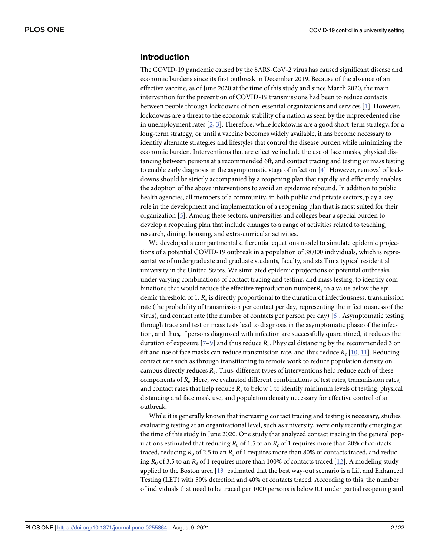# <span id="page-2-0"></span>**Introduction**

The COVID-19 pandemic caused by the SARS-CoV-2 virus has caused significant disease and economic burdens since its first outbreak in December 2019. Because of the absence of an effective vaccine, as of June 2020 at the time of this study and since March 2020, the main intervention for the prevention of COVID-19 transmissions had been to reduce contacts between people through lockdowns of non-essential organizations and services [\[1\]](#page-19-0). However, lockdowns are a threat to the economic stability of a nation as seen by the unprecedented rise in unemployment rates  $[2, 3]$  $[2, 3]$  $[2, 3]$  $[2, 3]$ . Therefore, while lockdowns are a good short-term strategy, for a long-term strategy, or until a vaccine becomes widely available, it has become necessary to identify alternate strategies and lifestyles that control the disease burden while minimizing the economic burden. Interventions that are effective include the use of face masks, physical distancing between persons at a recommended 6ft, and contact tracing and testing or mass testing to enable early diagnosis in the asymptomatic stage of infection [\[4](#page-19-0)]. However, removal of lockdowns should be strictly accompanied by a reopening plan that rapidly and efficiently enables the adoption of the above interventions to avoid an epidemic rebound. In addition to public health agencies, all members of a community, in both public and private sectors, play a key role in the development and implementation of a reopening plan that is most suited for their organization [\[5\]](#page-19-0). Among these sectors, universities and colleges bear a special burden to develop a reopening plan that include changes to a range of activities related to teaching, research, dining, housing, and extra-curricular activities.

We developed a compartmental differential equations model to simulate epidemic projections of a potential COVID-19 outbreak in a population of 38,000 individuals, which is representative of undergraduate and graduate students, faculty, and staff in a typical residential university in the United States. We simulated epidemic projections of potential outbreaks under varying combinations of contact tracing and testing, and mass testing, to identify combinations that would reduce the effective reproduction number*Re* to a value below the epidemic threshold of 1. *Re* is directly proportional to the duration of infectiousness, transmission rate (the probability of transmission per contact per day, representing the infectiousness of the virus), and contact rate (the number of contacts per person per day) [[6\]](#page-19-0). Asymptomatic testing through trace and test or mass tests lead to diagnosis in the asymptomatic phase of the infection, and thus, if persons diagnosed with infection are successfully quarantined, it reduces the duration of exposure [[7](#page-19-0)–[9](#page-20-0)] and thus reduce *Re*. Physical distancing by the recommended 3 or 6ft and use of face masks can reduce transmission rate, and thus reduce  $R_e$  [[10](#page-20-0), [11](#page-20-0)]. Reducing contact rate such as through transitioning to remote work to reduce population density on campus directly reduces *Re*. Thus, different types of interventions help reduce each of these components of *Re*. Here, we evaluated different combinations of test rates, transmission rates, and contact rates that help reduce *Re* to below 1 to identify minimum levels of testing, physical distancing and face mask use, and population density necessary for effective control of an outbreak.

While it is generally known that increasing contact tracing and testing is necessary, studies evaluating testing at an organizational level, such as university, were only recently emerging at the time of this study in June 2020. One study that analyzed contact tracing in the general populations estimated that reducing  $R_0$  of 1.5 to an  $R_e$  of 1 requires more than 20% of contacts traced, reducing  $R_0$  of 2.5 to an  $R_e$  of 1 requires more than 80% of contacts traced, and reducing *R*<sup>0</sup> of 3.5 to an *Re* of 1 requires more than 100% of contacts traced [\[12\]](#page-20-0). A modeling study applied to the Boston area [[13](#page-20-0)] estimated that the best way-out scenario is a Lift and Enhanced Testing (LET) with 50% detection and 40% of contacts traced. According to this, the number of individuals that need to be traced per 1000 persons is below 0.1 under partial reopening and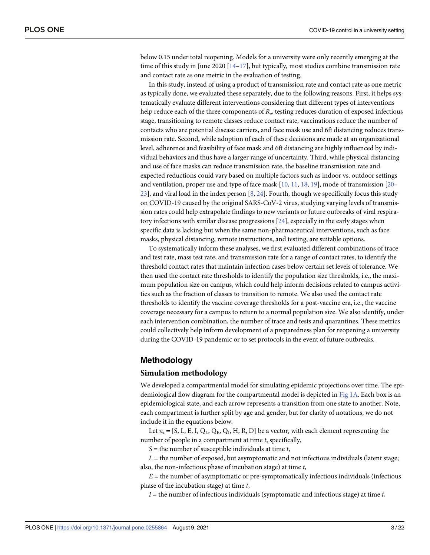<span id="page-3-0"></span>below 0.15 under total reopening. Models for a university were only recently emerging at the time of this study in June 2020  $[14-17]$ , but typically, most studies combine transmission rate and contact rate as one metric in the evaluation of testing.

In this study, instead of using a product of transmission rate and contact rate as one metric as typically done, we evaluated these separately, due to the following reasons. First, it helps systematically evaluate different interventions considering that different types of interventions help reduce each of the three components of  $R_e$ , testing reduces duration of exposed infectious stage, transitioning to remote classes reduce contact rate, vaccinations reduce the number of contacts who are potential disease carriers, and face mask use and 6ft distancing reduces transmission rate. Second, while adoption of each of these decisions are made at an organizational level, adherence and feasibility of face mask and 6ft distancing are highly influenced by individual behaviors and thus have a larger range of uncertainty. Third, while physical distancing and use of face masks can reduce transmission rate, the baseline transmission rate and expected reductions could vary based on multiple factors such as indoor vs. outdoor settings and ventilation, proper use and type of face mask  $[10, 11, 18, 19]$  $[10, 11, 18, 19]$  $[10, 11, 18, 19]$  $[10, 11, 18, 19]$  $[10, 11, 18, 19]$  $[10, 11, 18, 19]$  $[10, 11, 18, 19]$ , mode of transmission  $[20 [20 [20-$ [23\]](#page-20-0), and viral load in the index person [\[8](#page-20-0), [24](#page-20-0)]. Fourth, though we specifically focus this study on COVID-19 caused by the original SARS-CoV-2 virus, studying varying levels of transmission rates could help extrapolate findings to new variants or future outbreaks of viral respiratory infections with similar disease progressions [\[24\]](#page-20-0), especially in the early stages when specific data is lacking but when the same non-pharmaceutical interventions, such as face masks, physical distancing, remote instructions, and testing, are suitable options.

To systematically inform these analyses, we first evaluated different combinations of trace and test rate, mass test rate, and transmission rate for a range of contact rates, to identify the threshold contact rates that maintain infection cases below certain set levels of tolerance. We then used the contact rate thresholds to identify the population size thresholds, i.e., the maximum population size on campus, which could help inform decisions related to campus activities such as the fraction of classes to transition to remote. We also used the contact rate thresholds to identify the vaccine coverage thresholds for a post-vaccine era, i.e., the vaccine coverage necessary for a campus to return to a normal population size. We also identify, under each intervention combination, the number of trace and tests and quarantines. These metrics could collectively help inform development of a preparedness plan for reopening a university during the COVID-19 pandemic or to set protocols in the event of future outbreaks.

### **Methodology**

#### **Simulation methodology**

We developed a compartmental model for simulating epidemic projections over time. The epidemiological flow diagram for the compartmental model is depicted in [Fig](#page-4-0) 1A. Each box is an epidemiological state, and each arrow represents a transition from one state to another. Note, each compartment is further split by age and gender, but for clarity of notations, we do not include it in the equations below.

Let  $\pi_t$  = [S, L, E, I, Q<sub>L</sub>, Q<sub>E</sub>, Q<sub>I</sub>, H, R, D] be a vector, with each element representing the number of people in a compartment at time *t*, specifically,

*S* = the number of susceptible individuals at time *t*,

 $L =$  the number of exposed, but asymptomatic and not infectious individuals (latent stage; also, the non-infectious phase of incubation stage) at time *t*,

*E* = the number of asymptomatic or pre-symptomatically infectious individuals (infectious phase of the incubation stage) at time *t*,

*I* = the number of infectious individuals (symptomatic and infectious stage) at time *t*,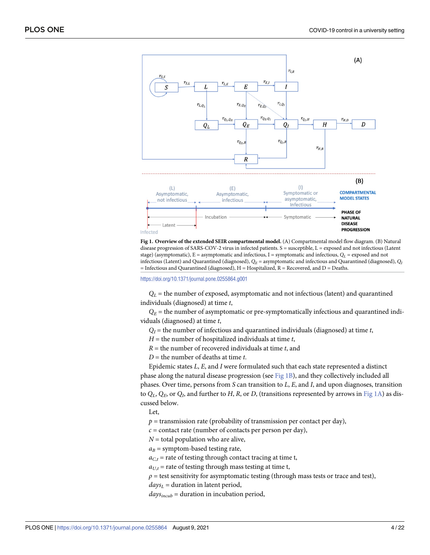<span id="page-4-0"></span>



<https://doi.org/10.1371/journal.pone.0255864.g001>

 $Q_L$  = the number of exposed, asymptomatic and not infectious (latent) and quarantined individuals (diagnosed) at time *t*,

 $Q_E$  = the number of asymptomatic or pre-symptomatically infectious and quarantined individuals (diagnosed) at time *t*,

 $Q_I$  = the number of infectious and quarantined individuals (diagnosed) at time *t*,

*H* = the number of hospitalized individuals at time *t*,

*R* = the number of recovered individuals at time *t*, and

*D* = the number of deaths at time *t*.

Epidemic states *L*, *E*, and *I* were formulated such that each state represented a distinct phase along the natural disease progression (see Fig 1B), and they collectively included all phases. Over time, persons from *S* can transition to *L*, *E*, and *I*, and upon diagnoses, transition to  $Q_L$ ,  $Q_F$ , or  $Q_L$ , and further to *H*, *R*, or *D*, (transitions represented by arrows in Fig 1A) as discussed below.

Let,

 $p =$  transmission rate (probability of transmission per contact per day),

 $c =$  contact rate (number of contacts per person per day),

 $N =$  total population who are alive,

 $a_B$  = symptom-based testing rate,

 $a_{C,t}$  = rate of testing through contact tracing at time t,

 $a_{U,t}$  = rate of testing through mass testing at time t,

 $\rho$  = test sensitivity for asymptomatic testing (through mass tests or trace and test),

 $days<sub>L</sub>$  = duration in latent period,

 $days_{incub}$  = duration in incubation period,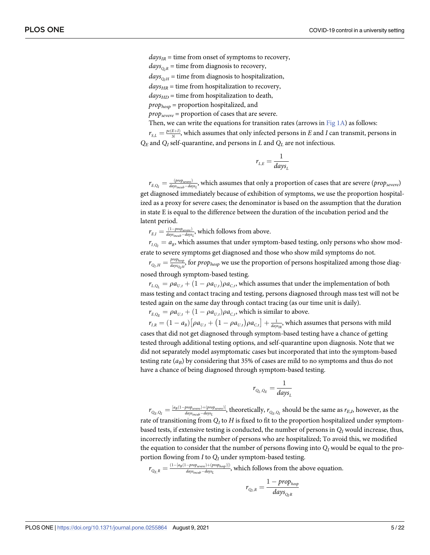$days_{IR}$  = time from onset of symptoms to recovery,

 $days<sub>O-R</sub>$  = time from diagnosis to recovery,

 $days_{O<sub>H</sub>}$  = time from diagnosis to hospitalization,

 $days_{HR}$  = time from hospitalization to recovery,

 $days<sub>HD</sub>$  = time from hospitalization to death,

 $prop_{hosp}$  = proportion hospitalized, and

*propsevere* = proportion of cases that are severe.

Then, we can write the equations for transition rates (arrows in [Fig](#page-4-0)  $1A$ ) as follows:

 $r_{S,L} = \frac{pe(E+I)}{N}$ , which assumes that only infected persons in *E* and *I* can transmit, persons in  $Q_E$  and  $Q_I$  self-quarantine, and persons in *L* and  $Q_I$  are not infectious.

$$
r_{L,E} = \frac{1}{days_L}
$$

 $r_{E,Q_I}=\frac{(prop_{severe})}{days_{incub}-days_{L}}$ , which assumes that only a proportion of cases that are severe ( $prop_{severe}$ ) get diagnosed immediately because of exhibition of symptoms, we use the proportion hospitalized as a proxy for severe cases; the denominator is based on the assumption that the duration in state E is equal to the difference between the duration of the incubation period and the latent period.

 $r_{E,I} = \frac{(1 - prop_{severe})}{days_{incube} - days_L}$ , which follows from above.

 $r_{I, Q_I} = a_B$ , which assumes that under symptom-based testing, only persons who show moderate to severe symptoms get diagnosed and those who show mild symptoms do not.

 $r_{Q_I,H}=\frac{prop_{hosp}}{days_{Q_IH}}$ , for  $prop_{hosp}$  we use the proportion of persons hospitalized among those diagnosed through symptom-based testing.

 $r_{L,Q_L} = \rho a_{U,t} + (1 - \rho a_{U,t}) \rho a_{C,t}$ , which assumes that under the implementation of both mass testing and contact tracing and testing, persons diagnosed through mass test will not be tested again on the same day through contact tracing (as our time unit is daily).

 $r_{E.O_E} = \rho a_{U,t} + (1 - \rho a_{U,t}) \rho a_{C,t}$ , which is similar to above.  $\mathcal{L}_{\mathcal{L}}(t)$ 

 $r_{I,R} = (1-a_B)\big[\rho a_{U,t} + \big(1-\rho a_{U,t}\big)$  $\rho a_{C,t}$  $\left[\rho a_{U,t} + \left(1-\rho a_{U,t}\right)\rho a_{C,t}\right] + \frac{1}{\frac{1}{\text{days}_R}}$ , which assumes that persons with mild cases that did not get diagnosed through symptom-based testing have a chance of getting tested through additional testing options, and self-quarantine upon diagnosis. Note that we did not separately model asymptomatic cases but incorporated that into the symptom-based testing rate  $(a_B)$  by considering that 35% of cases are mild to no symptoms and thus do not have a chance of being diagnosed through symptom-based testing.

$$
r_{Q_L,Q_E} = \frac{1}{days_L}
$$

 $r_{Q_E,Q_I}=\frac{[a_B(1-prop_{severe})+(prop_{severe})]}{days_{in cube}-days_L}$ , theoretically,  $r_{Q_E,Q_I}$  should be the same as  $r_{E,I}$ , however, as the rate of transitioning from  $Q<sub>I</sub>$  to *H* is fixed to fit to the proportion hospitalized under symptombased tests, if extensive testing is conducted, the number of persons in *QI* would increase, thus, incorrectly inflating the number of persons who are hospitalized; To avoid this, we modified the equation to consider that the number of persons flowing into  $Q_I$  would be equal to the proportion flowing from *I* to *QI* under symptom-based testing.

*rQE;<sup>R</sup>* <sup>¼</sup> <sup>ð</sup>1 <sup>½</sup>*aB*ð1 *propsevere*Þþð*prophosp*Þ�Þ *daysincub daysL* , which follows from the above equation. *rQI;<sup>R</sup>* <sup>¼</sup> <sup>1</sup> *prophosp*

$$
r_{Q_I,R} = \frac{1}{\text{ days}_{Q_I R}}
$$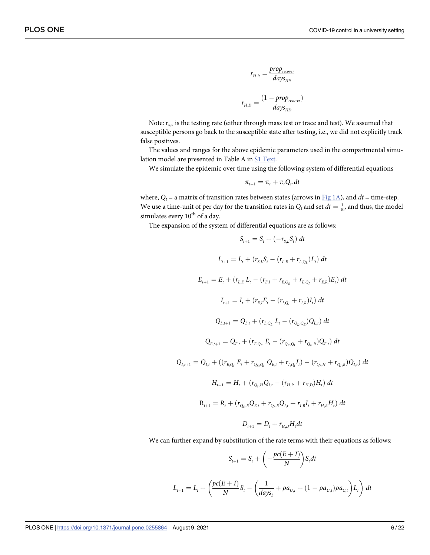$$
r_{H,R} = \frac{prop_{recover}}{days_{HR}}
$$

$$
r_{H,D} = \frac{(1 - prop_{recover})}{days_{HD}}
$$

Note:  $r_{s,s}$  is the testing rate (either through mass test or trace and test). We assumed that susceptible persons go back to the susceptible state after testing, i.e., we did not explicitly track false positives.

The values and ranges for the above epidemic parameters used in the compartmental simulation model are presented in Table A in S1 [Text](#page-18-0).

We simulate the epidemic over time using the following system of differential equations

$$
\pi_{t+1} = \pi_t + \pi_t Q_t \cdot dt
$$

where,  $Q_t$  = a matrix of transition rates between states (arrows in [Fig](#page-4-0) 1A), and  $dt$  = time-step. We use a time-unit of per day for the transition rates in  $Q_t$  and set  $dt = \frac{1}{10}$ , and thus, the model simulates every 10<sup>th</sup> of a day.

The expansion of the system of differential equations are as follows:

$$
S_{t+1} = S_t + (-r_{S,L}S_t) dt
$$
  
\n
$$
L_{t+1} = L_t + (r_{S,L}S_t - (r_{L,E} + r_{L,Q_L})L_t) dt
$$
  
\n
$$
E_{t+1} = E_t + (r_{L,E} L_t - (r_{E,I} + r_{E,Q_E} + r_{E,Q_I} + r_{E,R})E_t) dt
$$
  
\n
$$
I_{t+1} = I_t + (r_{E,I}E_t - (r_{I,Q_L} + r_{I,R})I_t) dt
$$
  
\n
$$
Q_{L,t+1} = Q_{L,t} + (r_{L,Q_L} L_t - (r_{Q_L,Q_E})Q_{L,t}) dt
$$
  
\n
$$
Q_{E,t+1} = Q_{E,t} + (r_{E,Q_E} E_t - (r_{Q_E,Q_I} + r_{Q_E,R})Q_{E,t}) dt
$$
  
\n
$$
Q_{I,t+1} = Q_{I,t} + ((r_{E,Q_I} E_t + r_{Q_E,Q_I} Q_{E,t} + r_{I,Q_I} I_t) - (r_{Q_I,H} + r_{Q_I,R})Q_{I,t}) dt
$$
  
\n
$$
H_{t+1} = H_t + (r_{Q_I,H} Q_{I,t} - (r_{H,R} + r_{H,D})H_t) dt
$$
  
\n
$$
R_{t+1} = R_t + (r_{Q_E,R} Q_{E,t} + r_{Q_I,R} Q_{I,t} + r_{I,R} I_t + r_{H,R} H_t) dt
$$
  
\n
$$
D_{t+1} = D_t + r_{H,D} H_t dt
$$

We can further expand by substitution of the rate terms with their equations as follows:

$$
S_{t+1} = S_t + \left(-\frac{pc(E+I)}{N}\right) S_t dt
$$
  

$$
L_{t+1} = L_t + \left(\frac{pc(E+I)}{N}S_t - \left(\frac{1}{days_t} + \rho a_{U,t} + (1 - \rho a_{U,t})\rho a_{C,t}\right)L_t\right) dt
$$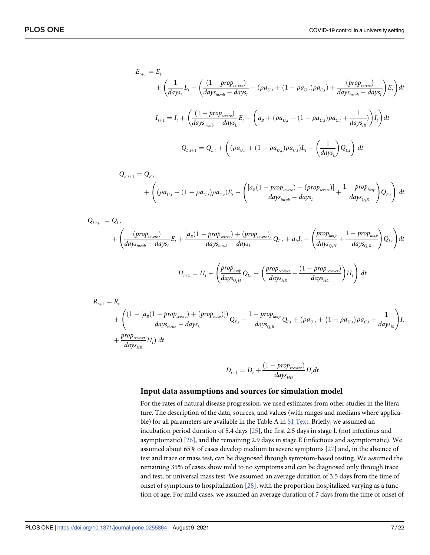<span id="page-7-0"></span>
$$
E_{t+1} = E_t + \left(\frac{1}{days_L}L_t - \left(\frac{(1 - prop_{severe})}{days_{inoub} - days_L} + (\rho a_{U,t} + (1 - \rho a_{U,t})\rho a_{C,t}) + \frac{(prop_{severe})}{days_{inoub} - days_L}\right)E_t\right)dt
$$
  

$$
I_{t+1} = I_t + \left(\frac{(1 - prop_{severe})}{days_{inoub} - days_L}E_t - \left(a_B + (\rho a_{U,t} + (1 - \rho a_{U,t})\rho a_{C,t} + \frac{1}{days_{IR}})\right)I_t\right)dt
$$
  

$$
Q_{L,t+1} = Q_{L,t} + \left((\rho a_{U,t} + (1 - \rho a_{U,t})\rho a_{C,t})L_t - \left(\frac{1}{days_L}\right)Q_{L,t}\right)dt
$$

$$
Q_{E,t+1} = Q_{E,t}
$$
  
+  $\left( (\rho a_{U,t} + (1 - \rho a_{U,t}) \rho a_{C,t}) E_t - \left( \frac{[a_B(1 - prop_{severe}) + (prop_{severe})]}{days_{incube} - days_t} + \frac{1 - prop_{hosp}}{days_{Q_I R}} \right) Q_{E,t} \right) dt$ 

$$
Q_{I,t+1} = Q_{I,t}
$$
\n
$$
+ \left( \frac{(prop_{severe})}{days_{incub} - days_{L}} E_{t} + \frac{[a_{B}(1 - prop_{severe}) + (prop_{severe})]}{days_{incub} - days_{L}} Q_{E,t} + a_{B}I_{t} - \left( \frac{prop_{hosp}}{days_{Q_{I}H}} + \frac{1 - prop_{hosp}}{days_{Q_{I}R}} \right) Q_{I,t} \right) dt
$$
\n
$$
H_{t+1} = H_{t} + \left( \frac{prop_{hosp}}{days_{Q_{I}H}} Q_{I,t} - \left( \frac{prop_{recover}}{days_{HR}} + \frac{(1 - prop_{recover})}{days_{HD}} \right) H_{t} \right) dt
$$

$$
R_{t+1} = R_t
$$
  
+ 
$$
\left(\frac{(1 - [a_B(1 - prop_{severe}) + (prop_{hosp})])}{days_{inoub} - days_L}Q_{E,t} + \frac{1 - prop_{hosp}}{days_{Q_I R}}Q_{I,t} + (pa_{U,t} + (1 - pa_{U,t})pa_{C,t} + \frac{1}{days_{IR}})\right)I_t
$$
  
+ 
$$
\frac{prop_{recover}}{days_{HR}}H_t dt
$$

$$
D_{t+1} = D_t + \frac{(1 - prop_{recover})}{days_{HD}} H_t dt
$$

#### **Input data assumptions and sources for simulation model**

For the rates of natural disease progression, we used estimates from other studies in the literature. The description of the data, sources, and values (with ranges and medians where applica-ble) for all parameters are available in the Table A in S1 [Text](#page-18-0). Briefly, we assumed an incubation period duration of 5.4 days [\[25\]](#page-20-0), the first 2.5 days in stage L (not infectious and asymptomatic) [\[26\]](#page-20-0), and the remaining 2.9 days in stage E (infectious and asymptomatic). We assumed about 65% of cases develop medium to severe symptoms [[27](#page-21-0)] and, in the absence of test and trace or mass test, can be diagnosed through symptom-based testing. We assumed the remaining 35% of cases show mild to no symptoms and can be diagnosed only through trace and test, or universal mass test. We assumed an average duration of 3.5 days from the time of onset of symptoms to hospitalization [\[28\]](#page-21-0), with the proportion hospitalized varying as a function of age. For mild cases, we assumed an average duration of 7 days from the time of onset of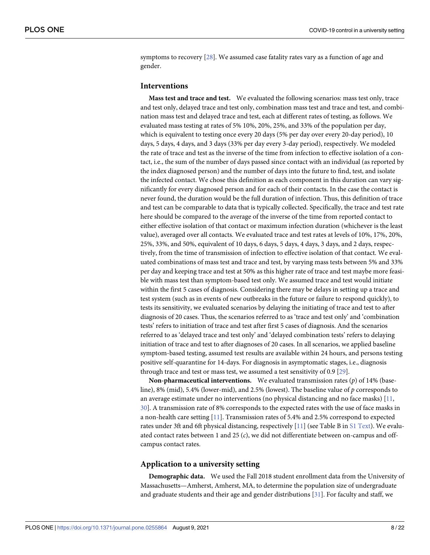<span id="page-8-0"></span>symptoms to recovery [[28](#page-21-0)]. We assumed case fatality rates vary as a function of age and gender.

#### **Interventions**

**Mass test and trace and test.** We evaluated the following scenarios: mass test only, trace and test only, delayed trace and test only, combination mass test and trace and test, and combination mass test and delayed trace and test, each at different rates of testing, as follows. We evaluated mass testing at rates of 5% 10%, 20%, 25%, and 33% of the population per day, which is equivalent to testing once every 20 days (5% per day over every 20-day period), 10 days, 5 days, 4 days, and 3 days (33% per day every 3-day period), respectively. We modeled the rate of trace and test as the inverse of the time from infection to effective isolation of a contact, i.e., the sum of the number of days passed since contact with an individual (as reported by the index diagnosed person) and the number of days into the future to find, test, and isolate the infected contact. We chose this definition as each component in this duration can vary significantly for every diagnosed person and for each of their contacts. In the case the contact is never found, the duration would be the full duration of infection. Thus, this definition of trace and test can be comparable to data that is typically collected. Specifically, the trace and test rate here should be compared to the average of the inverse of the time from reported contact to either effective isolation of that contact or maximum infection duration (whichever is the least value), averaged over all contacts. We evaluated trace and test rates at levels of 10%, 17%, 20%, 25%, 33%, and 50%, equivalent of 10 days, 6 days, 5 days, 4 days, 3 days, and 2 days, respectively, from the time of transmission of infection to effective isolation of that contact. We evaluated combinations of mass test and trace and test, by varying mass tests between 5% and 33% per day and keeping trace and test at 50% as this higher rate of trace and test maybe more feasible with mass test than symptom-based test only. We assumed trace and test would initiate within the first 5 cases of diagnosis. Considering there may be delays in setting up a trace and test system (such as in events of new outbreaks in the future or failure to respond quickly), to tests its sensitivity, we evaluated scenarios by delaying the initiating of trace and test to after diagnosis of 20 cases. Thus, the scenarios referred to as 'trace and test only' and 'combination tests' refers to initiation of trace and test after first 5 cases of diagnosis. And the scenarios referred to as 'delayed trace and test only' and 'delayed combination tests' refers to delaying initiation of trace and test to after diagnoses of 20 cases. In all scenarios, we applied baseline symptom-based testing, assumed test results are available within 24 hours, and persons testing positive self-quarantine for 14-days. For diagnosis in asymptomatic stages, i.e., diagnosis through trace and test or mass test, we assumed a test sensitivity of 0.9 [[29](#page-21-0)].

**Non-pharmaceutical interventions.** We evaluated transmission rates (*p*) of 14% (baseline), 8% (mid), 5.4% (lower-mid), and 2.5% (lowest). The baseline value of *p* corresponds to an average estimate under no interventions (no physical distancing and no face masks) [\[11,](#page-20-0) [30\]](#page-21-0). A transmission rate of 8% corresponds to the expected rates with the use of face masks in a non-health care setting [[11](#page-20-0)]. Transmission rates of 5.4% and 2.5% correspond to expected rates under 3ft and 6ft physical distancing, respectively [[11](#page-20-0)] (see Table B in S1 [Text\)](#page-18-0). We evaluated contact rates between 1 and 25 (*c*), we did not differentiate between on-campus and offcampus contact rates.

#### **Application to a university setting**

**Demographic data.** We used the Fall 2018 student enrollment data from the University of Massachusetts—Amherst, Amherst, MA, to determine the population size of undergraduate and graduate students and their age and gender distributions [[31](#page-21-0)]. For faculty and staff, we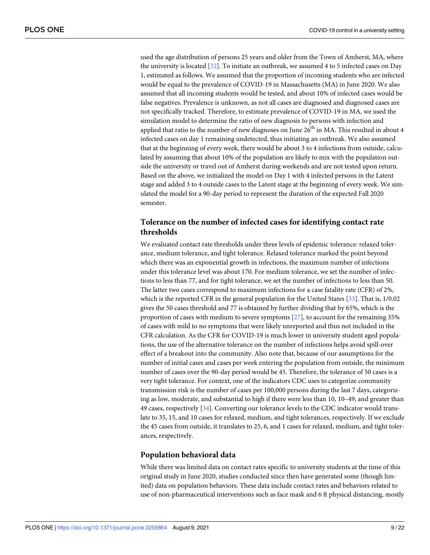<span id="page-9-0"></span>used the age distribution of persons 25 years and older from the Town of Amherst, MA, where the university is located [\[32\]](#page-21-0). To initiate an outbreak, we assumed 4 to 5 infected cases on Day 1, estimated as follows. We assumed that the proportion of incoming students who are infected would be equal to the prevalence of COVID-19 in Massachusetts (MA) in June 2020. We also assumed that all incoming students would be tested, and about 10% of infected cases would be false negatives. Prevalence is unknown, as not all cases are diagnosed and diagnosed cases are not specifically tracked. Therefore, to estimate prevalence of COVID-19 in MA, we used the simulation model to determine the ratio of new diagnosis to persons with infection and applied that ratio to the number of new diagnoses on June  $26<sup>th</sup>$  in MA. This resulted in about 4 infected cases on day 1 remaining undetected, thus initiating an outbreak. We also assumed that at the beginning of every week, there would be about 3 to 4 infections from outside, calculated by assuming that about 10% of the population are likely to mix with the population outside the university or travel out of Amherst during weekends and are not tested upon return. Based on the above, we initialized the model on Day 1 with 4 infected persons in the Latent stage and added 3 to 4 outside cases to the Latent stage at the beginning of every week. We simulated the model for a 90-day period to represent the duration of the expected Fall 2020 semester.

# **Tolerance on the number of infected cases for identifying contact rate thresholds**

We evaluated contact rate thresholds under three levels of epidemic tolerance: relaxed tolerance, medium tolerance, and tight tolerance. Relaxed tolerance marked the point beyond which there was an exponential growth in infections, the maximum number of infections under this tolerance level was about 170. For medium tolerance, we set the number of infections to less than 77, and for tight tolerance, we set the number of infections to less than 50. The latter two cases correspond to maximum infections for a case fatality rate (CFR) of 2%, which is the reported CFR in the general population for the United States [\[33\]](#page-21-0). That is, 1/0.02 gives the 50 cases threshold and 77 is obtained by further dividing that by 65%, which is the proportion of cases with medium to severe symptoms [[27](#page-21-0)], to account for the remaining 35% of cases with mild to no symptoms that were likely unreported and thus not included in the CFR calculation. As the CFR for COVID-19 is much lower in university student aged populations, the use of the alternative tolerance on the number of infections helps avoid spill-over effect of a breakout into the community. Also note that, because of our assumptions for the number of initial cases and cases per week entering the population from outside, the minimum number of cases over the 90-day period would be 45. Therefore, the tolerance of 50 cases is a very tight tolerance. For context, one of the indicators CDC uses to categorize community transmission risk is the number of cases per 100,000 persons during the last 7 days, categorizing as low, moderate, and substantial to high if there were less than 10, 10–49, and greater than 49 cases, respectively [\[34\]](#page-21-0). Converting our tolerance levels to the CDC indicator would translate to 35, 15, and 10 cases for relaxed, medium, and tight tolerances, respectively. If we exclude the 45 cases from outside, it translates to 25, 6, and 1 cases for relaxed, medium, and tight tolerances, respectively.

#### **Population behavioral data**

While there was limited data on contact rates specific to university students at the time of this original study in June 2020, studies conducted since then have generated some (though limited) data on population behaviors. These data include contact rates and behaviors related to use of non-pharmaceutical interventions such as face mask and 6 ft physical distancing, mostly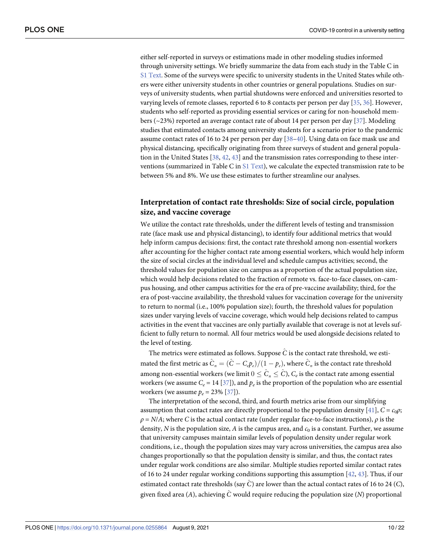<span id="page-10-0"></span>either self-reported in surveys or estimations made in other modeling studies informed through university settings. We briefly summarize the data from each study in the Table C in S1 [Text.](#page-18-0) Some of the surveys were specific to university students in the United States while others were either university students in other countries or general populations. Studies on surveys of university students, when partial shutdowns were enforced and universities resorted to varying levels of remote classes, reported 6 to 8 contacts per person per day [\[35,](#page-21-0) [36\]](#page-21-0). However, students who self-reported as providing essential services or caring for non-household members (~23%) reported an average contact rate of about 14 per person per day [\[37\]](#page-21-0). Modeling studies that estimated contacts among university students for a scenario prior to the pandemic assume contact rates of 16 to 24 per person per day [[38–40\]](#page-21-0). Using data on face mask use and physical distancing, specifically originating from three surveys of student and general population in the United States [\[38,](#page-21-0) [42,](#page-21-0) [43\]](#page-21-0) and the transmission rates corresponding to these interventions (summarized in Table C in S1 [Text](#page-18-0)), we calculate the expected transmission rate to be between 5% and 8%. We use these estimates to further streamline our analyses.

# **Interpretation of contact rate thresholds: Size of social circle, population size, and vaccine coverage**

We utilize the contact rate thresholds, under the different levels of testing and transmission rate (face mask use and physical distancing), to identify four additional metrics that would help inform campus decisions: first, the contact rate threshold among non-essential workers after accounting for the higher contact rate among essential workers, which would help inform the size of social circles at the individual level and schedule campus activities; second, the threshold values for population size on campus as a proportion of the actual population size, which would help decisions related to the fraction of remote vs. face-to-face classes, on-campus housing, and other campus activities for the era of pre-vaccine availability; third, for the era of post-vaccine availability, the threshold values for vaccination coverage for the university to return to normal (i.e., 100% population size); fourth, the threshold values for population sizes under varying levels of vaccine coverage, which would help decisions related to campus activities in the event that vaccines are only partially available that coverage is not at levels sufficient to fully return to normal. All four metrics would be used alongside decisions related to the level of testing.

The metrics were estimated as follows. Suppose  $\hat{C}$  is the contact rate threshold, we estimated the first metric as  $\hat{C}_n = (\hat{C} - C_p p_e)/(1 - p_e)$ , where  $\hat{C}_n$  is the contact rate threshold among non-essential workers (we limit  $0 \leq \hat{C}_n \leq \hat{C}$ ),  $C_e$  is the contact rate among essential workers (we assume  $C_e = 14$  [\[37\]](#page-21-0)), and  $p_e$  is the proportion of the population who are essential workers (we assume  $p_e = 23\%$  [\[37\]](#page-21-0)).

The interpretation of the second, third, and fourth metrics arise from our simplifying assumption that contact rates are directly proportional to the population density [\[41\]](#page-21-0),  $C = c_0 \rho$ ;  $\rho = N/A$ ; where *C* is the actual contact rate (under regular face-to-face instructions),  $\rho$  is the density, *N* is the population size, *A* is the campus area, and  $c<sub>0</sub>$  is a constant. Further, we assume that university campuses maintain similar levels of population density under regular work conditions, i.e., though the population sizes may vary across universities, the campus area also changes proportionally so that the population density is similar, and thus, the contact rates under regular work conditions are also similar. Multiple studies reported similar contact rates of 16 to 24 under regular working conditions supporting this assumption  $[42, 43]$  $[42, 43]$  $[42, 43]$  $[42, 43]$  $[42, 43]$ . Thus, if our estimated contact rate thresholds (say *C*^) are lower than the actual contact rates of 16 to 24 (*C*), given fixed area (*A*), achieving *C*^ would require reducing the population size (*N*) proportional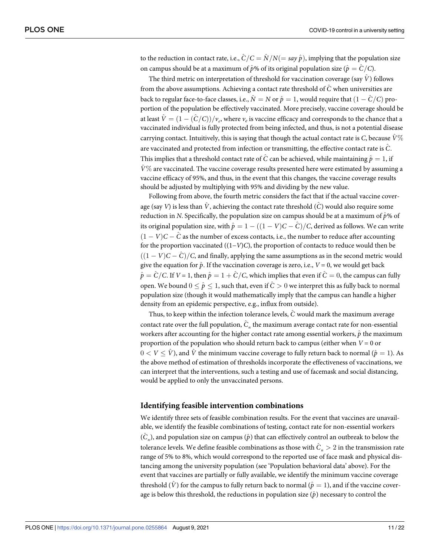to the reduction in contact rate, i.e.,  $\hat{C}/C = \hat{N}/N (= \text{say } \hat{p})$ , implying that the population size on campus should be at a maximum of  $\hat{p}$ % of its original population size ( $\hat{p} = \hat{C}/C$ ).

The third metric on interpretation of threshold for vaccination coverage (say  $\hat{V}$ ) follows from the above assumptions. Achieving a contact rate threshold of  $\hat{C}$  when universities are back to regular face-to-face classes, i.e.,  $\hat{N} = N$  or  $\hat{p} = 1$ , would require that  $(1 - \hat{C}/C)$  proportion of the population be effectively vaccinated. More precisely, vaccine coverage should be at least  $\hat{V} = (1 - (\hat{C}/C))/v_e$ , where  $v_e$  is vaccine efficacy and corresponds to the chance that a vaccinated individual is fully protected from being infected, and thus, is not a potential disease carrying contact. Intuitively, this is saying that though the actual contact rate is *C*, because  $\hat{V}\%$ are vaccinated and protected from infection or transmitting, the effective contact rate is *C*^. This implies that a threshold contact rate of  $\hat{C}$  can be achieved, while maintaining  $\hat{p} = 1$ , if  $\hat{V}^{\%}$  are vaccinated. The vaccine coverage results presented here were estimated by assuming a vaccine efficacy of 95%, and thus, in the event that this changes, the vaccine coverage results should be adjusted by multiplying with 95% and dividing by the new value.

Following from above, the fourth metric considers the fact that if the actual vaccine coverage (say *V*) is less than  $\hat{V}$ , achieving the contact rate threshold (*C*) would also require some reduction in *N*. Specifically, the population size on campus should be at a maximum of  $\hat{p}$ % of its original population size, with  $\hat{p} = 1 - ((1 - V)C - C)/C$ , derived as follows. We can write  $(1 - V)C - \tilde{C}$  as the number of excess contacts, i.e., the number to reduce after accounting for the proportion vaccinated ((1−*V*)*C*), the proportion of contacts to reduce would then be  $((1 - V)C - C)/C$ , and finally, applying the same assumptions as in the second metric would give the equation for  $\hat{p}$ . If the vaccination coverage is zero, i.e.,  $V = 0$ , we would get back  $\hat{p} = \hat{C}/C$ . If  $V = 1$ , then  $\hat{p} = 1 + \hat{C}/C$ , which implies that even if  $\hat{C} = 0$ , the campus can fully open. We bound  $0 \leq \hat{p} \leq 1$ , such that, even if  $\hat{C} > 0$  we interpret this as fully back to normal population size (though it would mathematically imply that the campus can handle a higher density from an epidemic perspective, e.g., influx from outside).

Thus, to keep within the infection tolerance levels, *C*^ would mark the maximum average contact rate over the full population,  $\hat{C}_n$  the maximum average contact rate for non-essential workers after accounting for the higher contact rate among essential workers,  $\hat{p}$  the maximum proportion of the population who should return back to campus (either when *V* = 0 or  $0 < V < \hat{V}$ ), and  $\hat{V}$  the minimum vaccine coverage to fully return back to normal ( $\hat{p} = 1$ ). As the above method of estimation of thresholds incorporate the effectiveness of vaccinations, we can interpret that the interventions, such a testing and use of facemask and social distancing, would be applied to only the unvaccinated persons.

#### **Identifying feasible intervention combinations**

We identify three sets of feasible combination results. For the event that vaccines are unavailable, we identify the feasible combinations of testing, contact rate for non-essential workers  $(\hat{C}_n)$ , and population size on campus  $(\hat{p})$  that can effectively control an outbreak to below the tolerance levels. We define feasible combinations as those with  $\hat{C}_n > 2$  in the transmission rate range of 5% to 8%, which would correspond to the reported use of face mask and physical distancing among the university population (see 'Population behavioral data' above). For the event that vaccines are partially or fully available, we identify the minimum vaccine coverage threshold  $(\hat{V})$  for the campus to fully return back to normal  $(\hat{p} = 1)$ , and if the vaccine coverage is below this threshold, the reductions in population size  $(\hat{p})$  necessary to control the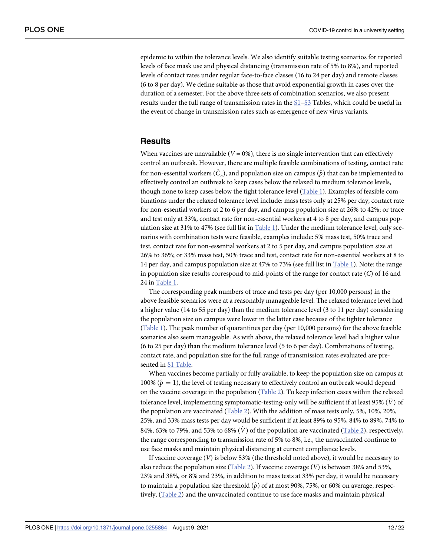<span id="page-12-0"></span>epidemic to within the tolerance levels. We also identify suitable testing scenarios for reported levels of face mask use and physical distancing (transmission rate of 5% to 8%), and reported levels of contact rates under regular face-to-face classes (16 to 24 per day) and remote classes (6 to 8 per day). We define suitable as those that avoid exponential growth in cases over the duration of a semester. For the above three sets of combination scenarios, we also present results under the full range of transmission rates in the [S1–S3](#page-18-0) Tables, which could be useful in the event of change in transmission rates such as emergence of new virus variants.

### **Results**

When vaccines are unavailable  $(V = 0\%)$ , there is no single intervention that can effectively control an outbreak. However, there are multiple feasible combinations of testing, contact rate for non-essential workers  $(\hat{C}_n)$ , and population size on campus  $(\hat{p})$  that can be implemented to effectively control an outbreak to keep cases below the relaxed to medium tolerance levels, though none to keep cases below the tight tolerance level [\(Table](#page-13-0) 1). Examples of feasible combinations under the relaxed tolerance level include: mass tests only at 25% per day, contact rate for non-essential workers at 2 to 6 per day, and campus population size at 26% to 42%; or trace and test only at 33%, contact rate for non-essential workers at 4 to 8 per day, and campus population size at 31% to 47% (see full list in [Table](#page-13-0) 1). Under the medium tolerance level, only scenarios with combination tests were feasible, examples include: 5% mass test, 50% trace and test, contact rate for non-essential workers at 2 to 5 per day, and campus population size at 26% to 36%; or 33% mass test, 50% trace and test, contact rate for non-essential workers at 8 to 14 per day, and campus population size at 47% to 73% (see full list in [Table](#page-13-0) 1). Note: the range in population size results correspond to mid-points of the range for contact rate (*C*) of 16 and 24 in [Table](#page-13-0) 1.

The corresponding peak numbers of trace and tests per day (per 10,000 persons) in the above feasible scenarios were at a reasonably manageable level. The relaxed tolerance level had a higher value (14 to 55 per day) than the medium tolerance level (3 to 11 per day) considering the population size on campus were lower in the latter case because of the tighter tolerance [\(Table](#page-13-0) 1). The peak number of quarantines per day (per 10,000 persons) for the above feasible scenarios also seem manageable. As with above, the relaxed tolerance level had a higher value (6 to 25 per day) than the medium tolerance level (5 to 6 per day). Combinations of testing, contact rate, and population size for the full range of transmission rates evaluated are presented in S1 [Table](#page-18-0).

When vaccines become partially or fully available, to keep the population size on campus at 100%  $(\hat{p} = 1)$ , the level of testing necessary to effectively control an outbreak would depend on the vaccine coverage in the population [\(Table](#page-14-0) 2). To keep infection cases within the relaxed tolerance level, implementing symptomatic-testing-only will be sufficient if at least 95% (*V*^ ) of the population are vaccinated [\(Table](#page-14-0) 2). With the addition of mass tests only, 5%, 10%, 20%, 25%, and 33% mass tests per day would be sufficient if at least 89% to 95%, 84% to 89%, 74% to 84%, 63% to 79%, and 53% to 68%  $(\hat{V})$  of the population are vaccinated ([Table](#page-14-0) 2), respectively, the range corresponding to transmission rate of 5% to 8%, i.e., the unvaccinated continue to use face masks and maintain physical distancing at current compliance levels.

If vaccine coverage (*V*) is below 53% (the threshold noted above), it would be necessary to also reduce the population size ([Table](#page-14-0) 2). If vaccine coverage (*V*) is between 38% and 53%, 23% and 38%, or 8% and 23%, in addition to mass tests at 33% per day, it would be necessary to maintain a population size threshold  $(\hat{p})$  of at most 90%, 75%, or 60% on average, respectively, [\(Table](#page-14-0) 2) and the unvaccinated continue to use face masks and maintain physical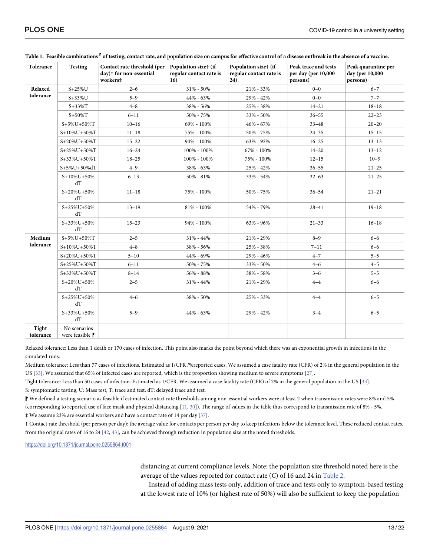| Tolerance          | <b>Testing</b>                  | Contact rate threshold (per<br>day)† for non-essential<br>workers‡ | Population size† (if<br>regular contact rate is<br>16) | Population size† (if<br>regular contact rate is<br>24) | Peak trace and tests<br>per day (per 10,000<br>persons) | Peak quarantine per<br>day (per 10,000<br>persons) |
|--------------------|---------------------------------|--------------------------------------------------------------------|--------------------------------------------------------|--------------------------------------------------------|---------------------------------------------------------|----------------------------------------------------|
| Relaxed            | $S+25\%$ U                      | $2 - 6$                                                            | 31% - 50%                                              | 21% - 33%                                              | $0 - 0$                                                 | $6 - 7$                                            |
| tolerance          | $S + 33\%$ U                    | $5 - 9$                                                            | 44% - 63%                                              | 29% - 42%                                              | $0 - 0$                                                 | $7 - 7$                                            |
|                    | $S + 33\%T$                     | $4 - 8$                                                            | 38% - 56%                                              | 25% - 38%                                              | $14 - 21$                                               | $18 - 18$                                          |
|                    | $S+50\%T$                       | $6 - 11$                                                           | 50% - 75%                                              | 33% - 50%                                              | $36 - 55$                                               | $22 - 23$                                          |
|                    | $S+5\%U+50\%T$                  | $10 - 16$                                                          | 69% - 100%                                             | 46% - 67%                                              | $33 - 48$                                               | $20 - 20$                                          |
|                    | $S+10\%U+50\%T$                 | $11 - 18$                                                          | 75% - 100%                                             | 50% - 75%                                              | $24 - 35$                                               | $15 - 15$                                          |
|                    | $S+20\%U+50\%T$                 | $15 - 22$                                                          | 94% - 100%                                             | 63% - 92%                                              | $16 - 25$                                               | $13 - 13$                                          |
|                    | S+25%U+50%T                     | $16 - 24$                                                          | 100% - 100%                                            | 67% - 100%                                             | $14 - 20$                                               | $13 - 12$                                          |
|                    | S+33%U+50%T                     | $18 - 25$                                                          | 100% - 100%                                            | 75% - 100%                                             | $12 - 15$                                               | $10 - 9$                                           |
|                    | S+5%U+50%dT                     | $4 - 9$                                                            | 38% - 63%                                              | 25% - 42%                                              | $36 - 55$                                               | $21 - 25$                                          |
|                    | $S+10\%U+50\%$<br>ďТ            | $6 - 13$                                                           | 50% - 81%                                              | 33% - 54%                                              | $32 - 63$                                               | $21 - 25$                                          |
|                    | $S+20\%U+50\%$<br>ďТ            | $11 - 18$                                                          | 75% - 100%                                             | 50% - 75%                                              | $36 - 54$                                               | $21 - 21$                                          |
|                    | $S+25\%U+50\%$<br>ďТ            | $13 - 19$                                                          | 81% - 100%                                             | 54% - 79%                                              | $28 - 41$                                               | $19 - 18$                                          |
|                    | $S+33\%U+50\%$<br>dT            | $15 - 23$                                                          | 94% - 100%                                             | $63\%$ - $96\%$                                        | $21 - 33$                                               | $16 - 18$                                          |
| Medium             | $S+5\%U+50\%T$                  | $2 - 5$                                                            | 31% - 44%                                              | 21% - 29%                                              | $8 - 9$                                                 | $6 - 6$                                            |
| tolerance          | $S+10\%U+50\%T$                 | $4 - 8$                                                            | 38% - 56%                                              | 25% - 38%                                              | $7 - 11$                                                | $6 - 6$                                            |
|                    | S+20%U+50%T                     | $5 - 10$                                                           | 44% - 69%                                              | 29% - 46%                                              | $4 - 7$                                                 | $5 - 5$                                            |
|                    | S+25%U+50%T                     | $6 - 11$                                                           | 50% - 75%                                              | 33% - 50%                                              | $4 - 6$                                                 | $4 - 5$                                            |
|                    | S+33%U+50%T                     | $8 - 14$                                                           | 56% - 88%                                              | 38% - 58%                                              | $3 - 6$                                                 | $5 - 5$                                            |
|                    | $S+20\%U+50\%$<br>dT            | $2 - 5$                                                            | $31\% - 44\%$                                          | 21% - 29%                                              | $4 - 4$                                                 | $6 - 6$                                            |
|                    | $S+25\%U+50\%$<br>dT            | $4 - 6$                                                            | 38% - 50%                                              | 25% - 33%                                              | $4 - 4$                                                 | $6 - 5$                                            |
|                    | S+33%U+50%<br>dT                | $5 - 9$                                                            | 44% - 63%                                              | 29% - 42%                                              | $3 - 4$                                                 | $6 - 5$                                            |
| Tight<br>tolerance | No scenarios<br>were feasible P |                                                                    |                                                        |                                                        |                                                         |                                                    |

<span id="page-13-0"></span>[Table](#page-12-0) 1. Feasible combinations  $\mathbb {P}$  of testing, contact rate, and population size on campus for effective control of a disease outbreak in the absence of a vaccine.

Relaxed tolerance: Less than 1 death or 170 cases of infection. This point also marks the point beyond which there was an exponential growth in infections in the simulated runs.

Medium tolerance: Less than 77 cases of infections. Estimated as 1/CFR /%reported cases. We assumed a case fatality rate (CFR) of 2% in the general population in the US [\[33\]](#page-21-0); We assumed that 65% of infected cases are reported, which is the proportion showing medium to severe symptoms [[27](#page-21-0)].

Tight tolerance: Less than 50 cases of infection. Estimated as 1/CFR. We assumed a case fatality rate (CFR) of 2% in the general population in the US [\[33\]](#page-21-0). S: symptomatic testing, U: Mass test, T: trace and test, dT: delayed trace and test.

⁋ We defined a testing scenario as feasible if estimated contact rate thresholds among non-essential workers were at least 2 when transmission rates were 8% and 5% (corresponding to reported use of face mask and physical distancing [[11,](#page-20-0) [30\]](#page-21-0)). The range of values in the table thus correspond to transmission rate of 8% - 5%. ‡ We assume 23% are essential workers and have a contact rate of 14 per day [[37](#page-21-0)].

† Contact rate threshold (per person per day): the average value for contacts per person per day to keep infections below the tolerance level. These reduced contact rates, from the original rates of 16 to 24 [[42](#page-21-0), [43\]](#page-21-0), can be achieved through reduction in population size at the noted thresholds.

<https://doi.org/10.1371/journal.pone.0255864.t001>

distancing at current compliance levels. Note: the population size threshold noted here is the average of the values reported for contact rate (*C*) of 16 and 24 in [Table](#page-14-0) 2.

Instead of adding mass tests only, addition of trace and tests only to symptom-based testing at the lowest rate of 10% (or highest rate of 50%) will also be sufficient to keep the population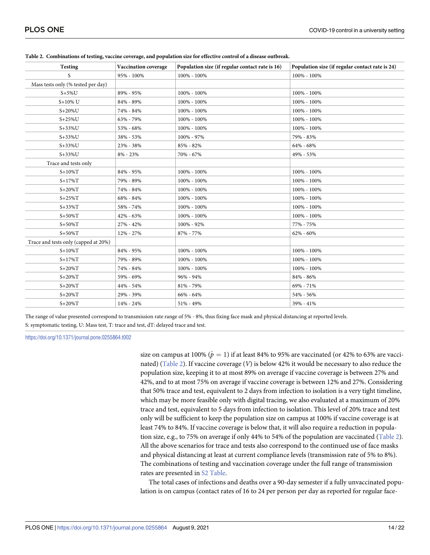| <b>Testing</b>                       | Vaccination coverage | Population size (if regular contact rate is 16) | Population size (if regular contact rate is 24) |  |  |
|--------------------------------------|----------------------|-------------------------------------------------|-------------------------------------------------|--|--|
| S                                    | 95% - 100%           | 100% - 100%                                     | 100% - 100%                                     |  |  |
| Mass tests only (% tested per day)   |                      |                                                 |                                                 |  |  |
| $S+5\%$ U                            | 89% - 95%            | 100% - 100%                                     | 100% - 100%                                     |  |  |
| $S+10\%$ U                           | 84% - 89%            | 100% - 100%                                     | 100% - 100%                                     |  |  |
| $S+20\%$ U                           | 74% - 84%            | 100% - 100%                                     | 100% - 100%                                     |  |  |
| $S+25\%$ U                           | 63% - 79%            | 100% - 100%                                     | 100% - 100%                                     |  |  |
| $S+33\%$ U                           | 53% - 68%            | 100% - 100%                                     | 100% - 100%                                     |  |  |
| $S+33\%$ U                           | 38% - 53%            | 100% - 97%                                      | 79% - 83%                                       |  |  |
| $S+33\%$ U                           | 23% - 38%            | 85% - 82%                                       | 64% - 68%                                       |  |  |
| $S + 33\%$ U                         | $8\% - 23\%$         | 70% - 67%                                       | 49% - 53%                                       |  |  |
| Trace and tests only                 |                      |                                                 |                                                 |  |  |
| $S+10\%T$                            | 84% - 95%            | 100% - 100%                                     | 100% - 100%                                     |  |  |
| $S+17\%T$                            | 79% - 89%            | 100% - 100%                                     | 100% - 100%                                     |  |  |
| $S+20\%T$                            | 74% - 84%            | 100% - 100%                                     | 100% - 100%                                     |  |  |
| $S+25\%T$                            | 68% - 84%            | 100% - 100%                                     | 100% - 100%                                     |  |  |
| $S+33\%T$                            | 58% - 74%            | 100% - 100%                                     | 100% - 100%                                     |  |  |
| $S+50\%T$                            | 42% - 63%            | 100% - 100%                                     | 100% - 100%                                     |  |  |
| $S+50\%T$                            | 27% - 42%            | 100% - 92%                                      | 77% - 75%                                       |  |  |
| $S + 50\%T$                          | 12% - 27%            | 87% - 77%                                       | $62\% - 60\%$                                   |  |  |
| Trace and tests only (capped at 20%) |                      |                                                 |                                                 |  |  |
| $S+10\%T$                            | 84% - 95%            | 100% - 100%                                     | 100% - 100%                                     |  |  |
| $S+17\%T$                            | 79% - 89%            | 100% - 100%                                     | 100% - 100%                                     |  |  |
| $S+20\%T$                            | 74% - 84%            | 100% - 100%                                     | 100% - 100%                                     |  |  |
| $S+20\%T$                            | 59% - 69%            | 96% - 94%                                       | 84% - 86%                                       |  |  |
| $S+20\%T$                            | 44% - 54%            | 81% - 79%                                       | 69% - 71%                                       |  |  |
| $S+20\%T$                            | 29% - 39%            | 66% - 64%                                       | 54% - 56%                                       |  |  |
| $S+20\%T$                            | 14% - 24%            | 51% - 49%                                       | 39% - 41%                                       |  |  |

<span id="page-14-0"></span>

| Table 2. Combinations of testing, vaccine coverage, and population size for effective control of a disease outbreak. |  |  |
|----------------------------------------------------------------------------------------------------------------------|--|--|
|                                                                                                                      |  |  |

The range of value presented correspond to transmission rate range of 5% - 8%, thus fixing face mask and physical distancing at reported levels. S: symptomatic testing, U: Mass test, T: trace and test, dT: delayed trace and test.

<https://doi.org/10.1371/journal.pone.0255864.t002>

size on campus at 100%  $(\hat{p} = 1)$  if at least 84% to 95% are vaccinated (or 42% to 63% are vaccinated) (Table 2). If vaccine coverage (*V*) is below 42% it would be necessary to also reduce the population size, keeping it to at most 89% on average if vaccine coverage is between 27% and 42%, and to at most 75% on average if vaccine coverage is between 12% and 27%. Considering that 50% trace and test, equivalent to 2 days from infection to isolation is a very tight timeline, which may be more feasible only with digital tracing, we also evaluated at a maximum of 20% trace and test, equivalent to 5 days from infection to isolation. This level of 20% trace and test only will be sufficient to keep the population size on campus at 100% if vaccine coverage is at least 74% to 84%. If vaccine coverage is below that, it will also require a reduction in population size, e.g., to 75% on average if only 44% to 54% of the population are vaccinated (Table 2). All the above scenarios for trace and tests also correspond to the continued use of face masks and physical distancing at least at current compliance levels (transmission rate of 5% to 8%). The combinations of testing and vaccination coverage under the full range of transmission rates are presented in S2 [Table.](#page-18-0)

The total cases of infections and deaths over a 90-day semester if a fully unvaccinated population is on campus (contact rates of 16 to 24 per person per day as reported for regular face-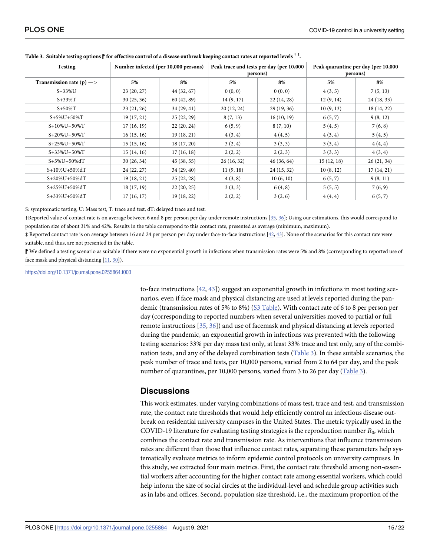| <b>Testing</b>                      | Number infected (per 10,000 persons) |             | Peak trace and tests per day (per 10,000<br>persons) |            | Peak quarantine per day (per 10,000<br>persons) |             |
|-------------------------------------|--------------------------------------|-------------|------------------------------------------------------|------------|-------------------------------------------------|-------------|
| Transmission rate (p) $\Rightarrow$ | 5%                                   | 8%          | 5%                                                   | 8%         | 5%                                              | 8%          |
| $S+33\%$ U                          | 23(20, 27)                           | 44 (32, 67) | 0(0, 0)                                              | 0(0, 0)    | 4(3, 5)                                         | 7(5, 13)    |
| $S + 33\%T$                         | 30(25, 36)                           | 60 (42, 89) | 14(9, 17)                                            | 22(14, 28) | 12(9, 14)                                       | 24(18, 33)  |
| $S+50\%T$                           | 23(21, 26)                           | 34(29, 41)  | 20(12, 24)                                           | 29(19, 36) | 10(9, 13)                                       | 18 (14, 22) |
| $S+5\%U+50\%T$                      | 19(17, 21)                           | 25(22, 29)  | 8(7, 13)                                             | 16(10, 19) | 6(5, 7)                                         | 9(8, 12)    |
| $S+10\%U+50\%T$                     | 17(16, 19)                           | 22(20, 24)  | 6(5, 9)                                              | 8(7, 10)   | 5(4, 5)                                         | 7(6, 8)     |
| $S+20\%U+50\%T$                     | 16(15, 16)                           | 19(18, 21)  | 4(3, 4)                                              | 4(4, 5)    | 4(3, 4)                                         | 5(4, 5)     |
| $S+25\%U+50\%T$                     | 15(15, 16)                           | 18(17, 20)  | 3(2, 4)                                              | 3(3,3)     | 3(3,4)                                          | 4(4,4)      |
| $S+33\%U+50\%T$                     | 15(14, 16)                           | 17(16, 18)  | 2(2, 2)                                              | 2(2, 3)    | 3(3,3)                                          | 4(3, 4)     |
| $S+5\%U+50\%dT$                     | 30(26, 34)                           | 45(38, 55)  | 26(16, 32)                                           | 46(36, 64) | 15(12, 18)                                      | 26(21, 34)  |
| S+10%U+50%dT                        | 24(22, 27)                           | 34(29, 40)  | 11(9, 18)                                            | 24(15, 32) | 10(8, 12)                                       | 17(14, 21)  |
| S+20%U+50%dT                        | 19(18, 21)                           | 25(22, 28)  | 4(3,8)                                               | 10(6, 10)  | 6(5, 7)                                         | 9(8, 11)    |
| S+25%U+50%dT                        | 18(17, 19)                           | 22(20, 25)  | 3(3,3)                                               | 6(4, 8)    | 5(5, 5)                                         | 7(6, 9)     |
| S+33%U+50%dT                        | 17(16, 17)                           | 19 (18, 22) | 2(2, 2)                                              | 3(2, 6)    | 4(4,4)                                          | 6(5,7)      |

<span id="page-15-0"></span>Table 3. Suitable testing options  $\mathbin{{\parallel}}$  for effective control of a disease outbreak keeping contact rates at reported levels  $^*$   $^*$ .

S: symptomatic testing, U: Mass test, T: trace and test, dT: delayed trace and test.

†Reported value of contact rate is on average between 6 and 8 per person per day under remote instructions [\[35](#page-21-0), [36](#page-21-0)]; Using our estimations, this would correspond to population size of about 31% and 42%. Results in the table correspond to this contact rate, presented as average (minimum, maximum).

‡ Reported contact rate is on average between 16 and 24 per person per day under face-to-face instructions [[42](#page-21-0), [43](#page-21-0)]. None of the scenarios for this contact rate were suitable, and thus, are not presented in the table.

⁋ We defined a testing scenario as suitable if there were no exponential growth in infections when transmission rates were 5% and 8% (corresponding to reported use of face mask and physical distancing [[11,](#page-20-0) [30\]](#page-21-0)).

<https://doi.org/10.1371/journal.pone.0255864.t003>

to-face instructions  $[42, 43]$  $[42, 43]$  $[42, 43]$  $[42, 43]$  $[42, 43]$ ) suggest an exponential growth in infections in most testing scenarios, even if face mask and physical distancing are used at levels reported during the pandemic (transmission rates of 5% to 8%) (S3 [Table](#page-18-0)). With contact rate of 6 to 8 per person per day (corresponding to reported numbers when several universities moved to partial or full remote instructions [\[35,](#page-21-0) [36\]](#page-21-0)) and use of facemask and physical distancing at levels reported during the pandemic, an exponential growth in infections was prevented with the following testing scenarios: 33% per day mass test only, at least 33% trace and test only, any of the combination tests, and any of the delayed combination tests (Table 3). In these suitable scenarios, the peak number of trace and tests, per 10,000 persons, varied from 2 to 64 per day, and the peak number of quarantines, per 10,000 persons, varied from 3 to 26 per day (Table 3).

# **Discussions**

This work estimates, under varying combinations of mass test, trace and test, and transmission rate, the contact rate thresholds that would help efficiently control an infectious disease outbreak on residential university campuses in the United States. The metric typically used in the COVID-19 literature for evaluating testing strategies is the reproduction number  $R_0$ , which combines the contact rate and transmission rate. As interventions that influence transmission rates are different than those that influence contact rates, separating these parameters help systematically evaluate metrics to inform epidemic control protocols on university campuses. In this study, we extracted four main metrics. First, the contact rate threshold among non-essential workers after accounting for the higher contact rate among essential workers, which could help inform the size of social circles at the individual-level and schedule group activities such as in labs and offices. Second, population size threshold, i.e., the maximum proportion of the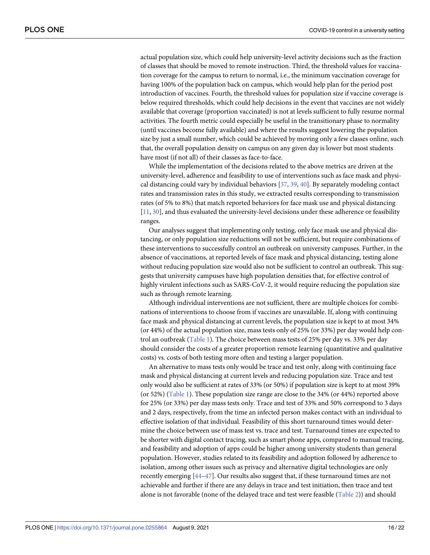<span id="page-16-0"></span>actual population size, which could help university-level activity decisions such as the fraction of classes that should be moved to remote instruction. Third, the threshold values for vaccination coverage for the campus to return to normal, i.e., the minimum vaccination coverage for having 100% of the population back on campus, which would help plan for the period post introduction of vaccines. Fourth, the threshold values for population size if vaccine coverage is below required thresholds, which could help decisions in the event that vaccines are not widely available that coverage (proportion vaccinated) is not at levels sufficient to fully resume normal activities. The fourth metric could especially be useful in the transitionary phase to normality (until vaccines become fully available) and where the results suggest lowering the population size by just a small number, which could be achieved by moving only a few classes online, such that, the overall population density on campus on any given day is lower but most students have most (if not all) of their classes as face-to-face.

While the implementation of the decisions related to the above metrics are driven at the university-level, adherence and feasibility to use of interventions such as face mask and physical distancing could vary by individual behaviors [[37](#page-21-0), [39](#page-21-0), [40\]](#page-21-0). By separately modeling contact rates and transmission rates in this study, we extracted results corresponding to transmission rates (of 5% to 8%) that match reported behaviors for face mask use and physical distancing [\[11,](#page-20-0) [30\]](#page-21-0), and thus evaluated the university-level decisions under these adherence or feasibility ranges.

Our analyses suggest that implementing only testing, only face mask use and physical distancing, or only population size reductions will not be sufficient, but require combinations of these interventions to successfully control an outbreak on university campuses. Further, in the absence of vaccinations, at reported levels of face mask and physical distancing, testing alone without reducing population size would also not be sufficient to control an outbreak. This suggests that university campuses have high population densities that, for effective control of highly virulent infections such as SARS-CoV-2, it would require reducing the population size such as through remote learning.

Although individual interventions are not sufficient, there are multiple choices for combinations of interventions to choose from if vaccines are unavailable. If, along with continuing face mask and physical distancing at current levels, the population size is kept to at most 34% (or 44%) of the actual population size, mass tests only of 25% (or 33%) per day would help control an outbreak ([Table](#page-13-0) 1). The choice between mass tests of 25% per day vs. 33% per day should consider the costs of a greater proportion remote learning (quantitative and qualitative costs) vs. costs of both testing more often and testing a larger population.

An alternative to mass tests only would be trace and test only, along with continuing face mask and physical distancing at current levels and reducing population size. Trace and test only would also be sufficient at rates of 33% (or 50%) if population size is kept to at most 39% (or 52%) [\(Table](#page-13-0) 1). These population size range are close to the 34% (or 44%) reported above for 25% (or 33%) per day mass tests only. Trace and test of 33% and 50% correspond to 3 days and 2 days, respectively, from the time an infected person makes contact with an individual to effective isolation of that individual. Feasibility of this short turnaround times would determine the choice between use of mass test vs. trace and test. Turnaround times are expected to be shorter with digital contact tracing, such as smart phone apps, compared to manual tracing, and feasibility and adoption of apps could be higher among university students than general population. However, studies related to its feasibility and adoption followed by adherence to isolation, among other issues such as privacy and alternative digital technologies are only recently emerging [[44](#page-21-0)[–47\]](#page-22-0). Our results also suggest that, if these turnaround times are not achievable and further if there are any delays in trace and test initiation, then trace and test alone is not favorable (none of the delayed trace and test were feasible [\(Table](#page-14-0) 2)) and should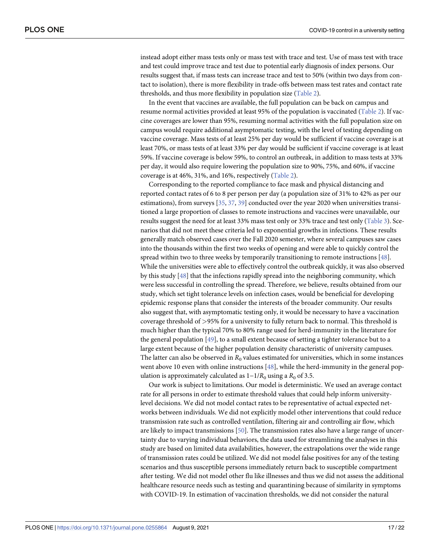<span id="page-17-0"></span>instead adopt either mass tests only or mass test with trace and test. Use of mass test with trace and test could improve trace and test due to potential early diagnosis of index persons. Our results suggest that, if mass tests can increase trace and test to 50% (within two days from contact to isolation), there is more flexibility in trade-offs between mass test rates and contact rate thresholds, and thus more flexibility in population size [\(Table](#page-14-0) 2).

In the event that vaccines are available, the full population can be back on campus and resume normal activities provided at least 95% of the population is vaccinated ([Table](#page-14-0) 2). If vaccine coverages are lower than 95%, resuming normal activities with the full population size on campus would require additional asymptomatic testing, with the level of testing depending on vaccine coverage. Mass tests of at least 25% per day would be sufficient if vaccine coverage is at least 70%, or mass tests of at least 33% per day would be sufficient if vaccine coverage is at least 59%. If vaccine coverage is below 59%, to control an outbreak, in addition to mass tests at 33% per day, it would also require lowering the population size to 90%, 75%, and 60%, if vaccine coverage is at 46%, 31%, and 16%, respectively [\(Table](#page-14-0) 2).

Corresponding to the reported compliance to face mask and physical distancing and reported contact rates of 6 to 8 per person per day (a population size of 31% to 42% as per our estimations), from surveys [[35](#page-21-0), [37](#page-21-0), [39](#page-21-0)] conducted over the year 2020 when universities transitioned a large proportion of classes to remote instructions and vaccines were unavailable, our results suggest the need for at least 33% mass test only or 33% trace and test only [\(Table](#page-15-0) 3). Scenarios that did not meet these criteria led to exponential growths in infections. These results generally match observed cases over the Fall 2020 semester, where several campuses saw cases into the thousands within the first two weeks of opening and were able to quickly control the spread within two to three weeks by temporarily transitioning to remote instructions [\[48\]](#page-22-0). While the universities were able to effectively control the outbreak quickly, it was also observed by this study [[48](#page-22-0)] that the infections rapidly spread into the neighboring community, which were less successful in controlling the spread. Therefore, we believe, results obtained from our study, which set tight tolerance levels on infection cases, would be beneficial for developing epidemic response plans that consider the interests of the broader community. Our results also suggest that, with asymptomatic testing only, it would be necessary to have a vaccination coverage threshold of *>*95% for a university to fully return back to normal. This threshold is much higher than the typical 70% to 80% range used for herd-immunity in the literature for the general population [\[49\]](#page-22-0), to a small extent because of setting a tighter tolerance but to a large extent because of the higher population density characteristic of university campuses. The latter can also be observed in  $R_0$  values estimated for universities, which in some instances went above 10 even with online instructions [[48](#page-22-0)], while the herd-immunity in the general population is approximately calculated as  $1-1/R_0$  using a  $R_0$  of 3.5.

Our work is subject to limitations. Our model is deterministic. We used an average contact rate for all persons in order to estimate threshold values that could help inform universitylevel decisions. We did not model contact rates to be representative of actual expected networks between individuals. We did not explicitly model other interventions that could reduce transmission rate such as controlled ventilation, filtering air and controlling air flow, which are likely to impact transmissions [[50](#page-22-0)]. The transmission rates also have a large range of uncertainty due to varying individual behaviors, the data used for streamlining the analyses in this study are based on limited data availabilities, however, the extrapolations over the wide range of transmission rates could be utilized. We did not model false positives for any of the testing scenarios and thus susceptible persons immediately return back to susceptible compartment after testing. We did not model other flu like illnesses and thus we did not assess the additional healthcare resource needs such as testing and quarantining because of similarity in symptoms with COVID-19. In estimation of vaccination thresholds, we did not consider the natural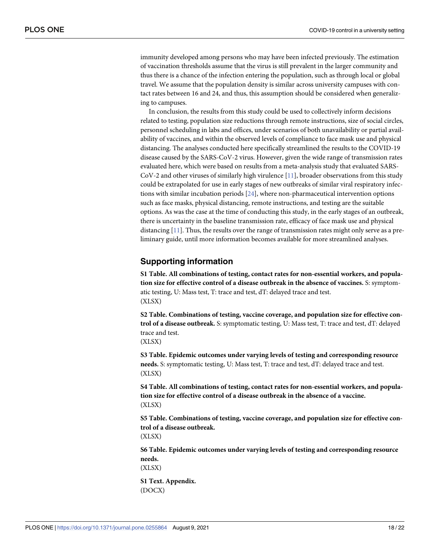<span id="page-18-0"></span>immunity developed among persons who may have been infected previously. The estimation of vaccination thresholds assume that the virus is still prevalent in the larger community and thus there is a chance of the infection entering the population, such as through local or global travel. We assume that the population density is similar across university campuses with contact rates between 16 and 24, and thus, this assumption should be considered when generalizing to campuses.

In conclusion, the results from this study could be used to collectively inform decisions related to testing, population size reductions through remote instructions, size of social circles, personnel scheduling in labs and offices, under scenarios of both unavailability or partial availability of vaccines, and within the observed levels of compliance to face mask use and physical distancing. The analyses conducted here specifically streamlined the results to the COVID-19 disease caused by the SARS-CoV-2 virus. However, given the wide range of transmission rates evaluated here, which were based on results from a meta-analysis study that evaluated SARS-CoV-2 and other viruses of similarly high virulence [\[11\]](#page-20-0), broader observations from this study could be extrapolated for use in early stages of new outbreaks of similar viral respiratory infections with similar incubation periods [[24](#page-20-0)], where non-pharmaceutical intervention options such as face masks, physical distancing, remote instructions, and testing are the suitable options. As was the case at the time of conducting this study, in the early stages of an outbreak, there is uncertainty in the baseline transmission rate, efficacy of face mask use and physical distancing [[11](#page-20-0)]. Thus, the results over the range of transmission rates might only serve as a preliminary guide, until more information becomes available for more streamlined analyses.

## **Supporting information**

**S1 [Table.](http://www.plosone.org/article/fetchSingleRepresentation.action?uri=info:doi/10.1371/journal.pone.0255864.s001) All combinations of testing, contact rates for non-essential workers, and population size for effective control of a disease outbreak in the absence of vaccines.** S: symptomatic testing, U: Mass test, T: trace and test, dT: delayed trace and test. (XLSX)

**S2 [Table.](http://www.plosone.org/article/fetchSingleRepresentation.action?uri=info:doi/10.1371/journal.pone.0255864.s002) Combinations of testing, vaccine coverage, and population size for effective control of a disease outbreak.** S: symptomatic testing, U: Mass test, T: trace and test, dT: delayed trace and test.

(XLSX)

**S3 [Table.](http://www.plosone.org/article/fetchSingleRepresentation.action?uri=info:doi/10.1371/journal.pone.0255864.s003) Epidemic outcomes under varying levels of testing and corresponding resource needs.** S: symptomatic testing, U: Mass test, T: trace and test, dT: delayed trace and test. (XLSX)

**S4 [Table.](http://www.plosone.org/article/fetchSingleRepresentation.action?uri=info:doi/10.1371/journal.pone.0255864.s004) All combinations of testing, contact rates for non-essential workers, and population size for effective control of a disease outbreak in the absence of a vaccine.** (XLSX)

**S5 [Table.](http://www.plosone.org/article/fetchSingleRepresentation.action?uri=info:doi/10.1371/journal.pone.0255864.s005) Combinations of testing, vaccine coverage, and population size for effective control of a disease outbreak.**

(XLSX)

**S6 [Table.](http://www.plosone.org/article/fetchSingleRepresentation.action?uri=info:doi/10.1371/journal.pone.0255864.s006) Epidemic outcomes under varying levels of testing and corresponding resource needs.**

(XLSX)

**S1 [Text](http://www.plosone.org/article/fetchSingleRepresentation.action?uri=info:doi/10.1371/journal.pone.0255864.s007). Appendix.** (DOCX)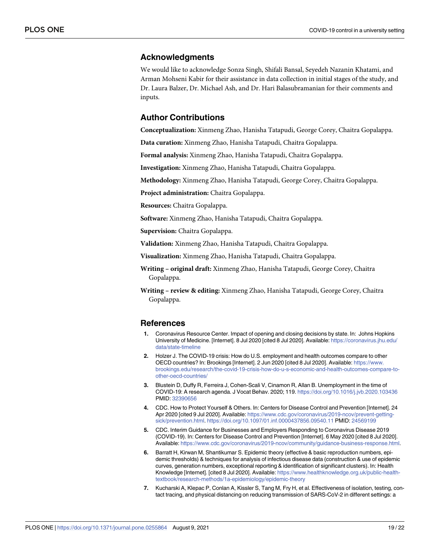### <span id="page-19-0"></span>**Acknowledgments**

We would like to acknowledge Sonza Singh, Shifali Bansal, Seyedeh Nazanin Khatami, and Arman Mohseni Kabir for their assistance in data collection in initial stages of the study, and Dr. Laura Balzer, Dr. Michael Ash, and Dr. Hari Balasubramanian for their comments and inputs.

# **Author Contributions**

**Conceptualization:** Xinmeng Zhao, Hanisha Tatapudi, George Corey, Chaitra Gopalappa.

**Data curation:** Xinmeng Zhao, Hanisha Tatapudi, Chaitra Gopalappa.

**Formal analysis:** Xinmeng Zhao, Hanisha Tatapudi, Chaitra Gopalappa.

**Investigation:** Xinmeng Zhao, Hanisha Tatapudi, Chaitra Gopalappa.

**Methodology:** Xinmeng Zhao, Hanisha Tatapudi, George Corey, Chaitra Gopalappa.

**Project administration:** Chaitra Gopalappa.

**Resources:** Chaitra Gopalappa.

**Software:** Xinmeng Zhao, Hanisha Tatapudi, Chaitra Gopalappa.

**Supervision:** Chaitra Gopalappa.

**Validation:** Xinmeng Zhao, Hanisha Tatapudi, Chaitra Gopalappa.

**Visualization:** Xinmeng Zhao, Hanisha Tatapudi, Chaitra Gopalappa.

**Writing – original draft:** Xinmeng Zhao, Hanisha Tatapudi, George Corey, Chaitra Gopalappa.

**Writing – review & editing:** Xinmeng Zhao, Hanisha Tatapudi, George Corey, Chaitra Gopalappa.

#### **References**

- **[1](#page-2-0).** Coronavirus Resource Center. Impact of opening and closing decisions by state. In: Johns Hopkins University of Medicine. [Internet]. 8 Jul 2020 [cited 8 Jul 2020]. Available: [https://coronavirus.jhu.edu/](https://coronavirus.jhu.edu/data/state-timeline) [data/state-timeline](https://coronavirus.jhu.edu/data/state-timeline)
- **[2](#page-2-0).** Holzer J. The COVID-19 crisis: How do U.S. employment and health outcomes compare to other OECD countries? In: Brookings [Internet]. 2 Jun 2020 [cited 8 Jul 2020]. Available: [https://www.](https://www.brookings.edu/research/the-covid-19-crisis-how-do-u-s-economic-and-health-outcomes-compare-to-other-oecd-countries/) [brookings.edu/research/the-covid-19-crisis-how-do-u-s-economic-and-health-outcomes-compare-to](https://www.brookings.edu/research/the-covid-19-crisis-how-do-u-s-economic-and-health-outcomes-compare-to-other-oecd-countries/)[other-oecd-countries/](https://www.brookings.edu/research/the-covid-19-crisis-how-do-u-s-economic-and-health-outcomes-compare-to-other-oecd-countries/)
- **[3](#page-2-0).** Blustein D, Duffy R, Ferreira J, Cohen-Scali V, Cinamon R, Allan B. Unemployment in the time of COVID-19: A research agenda. J Vocat Behav. 2020; 119. <https://doi.org/10.1016/j.jvb.2020.103436> PMID: [32390656](http://www.ncbi.nlm.nih.gov/pubmed/32390656)
- **[4](#page-2-0).** CDC. How to Protect Yourself & Others. In: Centers for Disease Control and Prevention [Internet]. 24 Apr 2020 [cited 9 Jul 2020]. Available: [https://www.cdc.gov/coronavirus/2019-ncov/prevent-getting](https://www.cdc.gov/coronavirus/2019-ncov/prevent-getting-sick/prevention.html)[sick/prevention.html](https://www.cdc.gov/coronavirus/2019-ncov/prevent-getting-sick/prevention.html). <https://doi.org/10.1097/01.inf.0000437856.09540.11> PMID: [24569199](http://www.ncbi.nlm.nih.gov/pubmed/24569199)
- **[5](#page-2-0).** CDC. Interim Guidance for Businesses and Employers Responding to Coronavirus Disease 2019 (COVID-19). In: Centers for Disease Control and Prevention [Internet]. 6 May 2020 [cited 8 Jul 2020]. Available: <https://www.cdc.gov/coronavirus/2019-ncov/community/guidance-business-response.html>.
- **[6](#page-2-0).** Barratt H, Kirwan M, Shantikumar S. Epidemic theory (effective & basic reproduction numbers, epidemic thresholds) & techniques for analysis of infectious disease data (construction & use of epidemic curves, generation numbers, exceptional reporting & identification of significant clusters). In: Health Knowledge [Internet]. [cited 8 Jul 2020]. Available: [https://www.healthknowledge.org.uk/public-health](https://www.healthknowledge.org.uk/public-health-textbook/research-methods/1a-epidemiology/epidemic-theory)[textbook/research-methods/1a-epidemiology/epidemic-theory](https://www.healthknowledge.org.uk/public-health-textbook/research-methods/1a-epidemiology/epidemic-theory)
- **[7](#page-2-0).** Kucharski A, Klepac P, Conlan A, Kissler S, Tang M, Fry H, et al. Effectiveness of isolation, testing, contact tracing, and physical distancing on reducing transmission of SARS-CoV-2 in different settings: a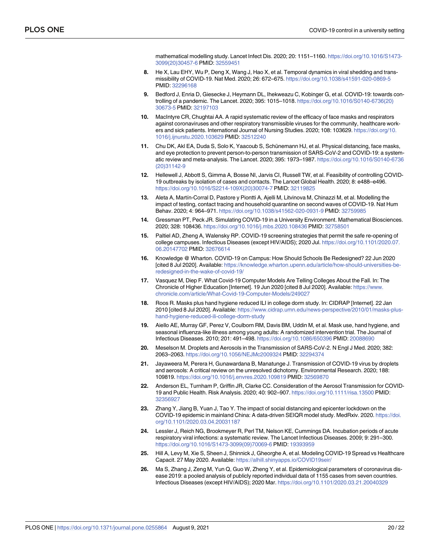mathematical modelling study. Lancet Infect Dis. 2020; 20: 1151–1160. [https://doi.org/10.1016/S1473-](https://doi.org/10.1016/S1473-3099%2820%2930457-6) [3099\(20\)30457-6](https://doi.org/10.1016/S1473-3099%2820%2930457-6) PMID: [32559451](http://www.ncbi.nlm.nih.gov/pubmed/32559451)

- <span id="page-20-0"></span>**[8](#page-3-0).** He X, Lau EHY, Wu P, Deng X, Wang J, Hao X, et al. Temporal dynamics in viral shedding and transmissibility of COVID-19. Nat Med. 2020; 26: 672–675. <https://doi.org/10.1038/s41591-020-0869-5> PMID: [32296168](http://www.ncbi.nlm.nih.gov/pubmed/32296168)
- **[9](#page-2-0).** Bedford J, Enria D, Giesecke J, Heymann DL, Ihekweazu C, Kobinger G, et al. COVID-19: towards controlling of a pandemic. The Lancet. 2020; 395: 1015–1018. [https://doi.org/10.1016/S0140-6736\(20\)](https://doi.org/10.1016/S0140-6736%2820%2930673-5) [30673-5](https://doi.org/10.1016/S0140-6736%2820%2930673-5) PMID: [32197103](http://www.ncbi.nlm.nih.gov/pubmed/32197103)
- **[10](#page-2-0).** MacIntyre CR, Chughtai AA. A rapid systematic review of the efficacy of face masks and respirators against coronaviruses and other respiratory transmissible viruses for the community, healthcare workers and sick patients. International Journal of Nursing Studies. 2020; 108: 103629. [https://doi.org/10.](https://doi.org/10.1016/j.ijnurstu.2020.103629) [1016/j.ijnurstu.2020.103629](https://doi.org/10.1016/j.ijnurstu.2020.103629) PMID: [32512240](http://www.ncbi.nlm.nih.gov/pubmed/32512240)
- **[11](#page-2-0).** Chu DK, Akl EA, Duda S, Solo K, Yaacoub S, Schünemann HJ, et al. Physical distancing, face masks, and eye protection to prevent person-to-person transmission of SARS-CoV-2 and COVID-19: a systematic review and meta-analysis. The Lancet. 2020; 395: 1973–1987. [https://doi.org/10.1016/S0140-6736](https://doi.org/10.1016/S0140-6736(20)31142-9) [\(20\)31142-9](https://doi.org/10.1016/S0140-6736(20)31142-9)
- **[12](#page-2-0).** Hellewell J, Abbott S, Gimma A, Bosse NI, Jarvis CI, Russell TW, et al. Feasibility of controlling COVID-19 outbreaks by isolation of cases and contacts. The Lancet Global Health. 2020; 8: e488–e496. [https://doi.org/10.1016/S2214-109X\(20\)30074-7](https://doi.org/10.1016/S2214-109X%2820%2930074-7) PMID: [32119825](http://www.ncbi.nlm.nih.gov/pubmed/32119825)
- **[13](#page-2-0).** Aleta A, Martín-Corral D, Pastore y Piontti A, Ajelli M, Litvinova M, Chinazzi M, et al. Modelling the impact of testing, contact tracing and household quarantine on second waves of COVID-19. Nat Hum Behav. 2020; 4: 964–971. <https://doi.org/10.1038/s41562-020-0931-9> PMID: [32759985](http://www.ncbi.nlm.nih.gov/pubmed/32759985)
- **[14](#page-3-0).** Gressman PT, Peck JR. Simulating COVID-19 in a University Environment. Mathematical Biosciences. 2020; 328: 108436. <https://doi.org/10.1016/j.mbs.2020.108436> PMID: [32758501](http://www.ncbi.nlm.nih.gov/pubmed/32758501)
- **15.** Paltiel AD, Zheng A, Walensky RP. COVID-19 screening strategies that permit the safe re-opening of college campuses. Infectious Diseases (except HIV/AIDS); 2020 Jul. [https://doi.org/10.1101/2020.07.](https://doi.org/10.1101/2020.07.06.20147702) [06.20147702](https://doi.org/10.1101/2020.07.06.20147702) PMID: [32676614](http://www.ncbi.nlm.nih.gov/pubmed/32676614)
- **16.** Knowledge @ Wharton. COVID-19 on Campus: How Should Schools Be Redesigned? 22 Jun 2020 [cited 8 Jul 2020]. Available: [https://knowledge.wharton.upenn.edu/article/how-should-universities-be](https://knowledge.wharton.upenn.edu/article/how-should-universities-be-redesigned-in-the-wake-of-covid-19/)[redesigned-in-the-wake-of-covid-19/](https://knowledge.wharton.upenn.edu/article/how-should-universities-be-redesigned-in-the-wake-of-covid-19/)
- **[17](#page-3-0).** Vasquez M, Diep F. What Covid-19 Computer Models Are Telling Colleges About the Fall. In: The Chronicle of Higher Education [Internet]. 19 Jun 2020 [cited 8 Jul 2020]. Available: [https://www.](https://www.chronicle.com/article/What-Covid-19-Computer-Models/249027) [chronicle.com/article/What-Covid-19-Computer-Models/249027](https://www.chronicle.com/article/What-Covid-19-Computer-Models/249027)
- **[18](#page-3-0).** Roos R. Masks plus hand hygiene reduced ILI in college dorm study. In: CIDRAP [Internet]. 22 Jan 2010 [cited 8 Jul 2020]. Available: [https://www.cidrap.umn.edu/news-perspective/2010/01/masks-plus](https://www.cidrap.umn.edu/news-perspective/2010/01/masks-plus-hand-hygiene-reduced-ili-college-dorm-study)[hand-hygiene-reduced-ili-college-dorm-study](https://www.cidrap.umn.edu/news-perspective/2010/01/masks-plus-hand-hygiene-reduced-ili-college-dorm-study)
- **[19](#page-3-0).** Aiello AE, Murray GF, Perez V, Coulborn RM, Davis BM, Uddin M, et al. Mask use, hand hygiene, and seasonal influenza-like illness among young adults: A randomized intervention trial. The Journal of Infectious Diseases. 2010; 201: 491–498. <https://doi.org/10.1086/650396> PMID: [20088690](http://www.ncbi.nlm.nih.gov/pubmed/20088690)
- **[20](#page-3-0).** Meselson M. Droplets and Aerosols in the Transmission of SARS-CoV-2. N Engl J Med. 2020; 382: 2063–2063. <https://doi.org/10.1056/NEJMc2009324> PMID: [32294374](http://www.ncbi.nlm.nih.gov/pubmed/32294374)
- **21.** Jayaweera M, Perera H, Gunawardana B, Manatunge J. Transmission of COVID-19 virus by droplets and aerosols: A critical review on the unresolved dichotomy. Environmental Research. 2020; 188: 109819. <https://doi.org/10.1016/j.envres.2020.109819> PMID: [32569870](http://www.ncbi.nlm.nih.gov/pubmed/32569870)
- **22.** Anderson EL, Turnham P, Griffin JR, Clarke CC. Consideration of the Aerosol Transmission for COVID-19 and Public Health. Risk Analysis. 2020; 40: 902–907. <https://doi.org/10.1111/risa.13500> PMID: [32356927](http://www.ncbi.nlm.nih.gov/pubmed/32356927)
- **[23](#page-3-0).** Zhang Y, Jiang B, Yuan J, Tao Y. The impact of social distancing and epicenter lockdown on the COVID-19 epidemic in mainland China: A data-driven SEIQR model study. MedRxiv. 2020. [https://doi.](https://doi.org/10.1101/2020.03.04.20031187) [org/10.1101/2020.03.04.20031187](https://doi.org/10.1101/2020.03.04.20031187)
- **[24](#page-3-0).** Lessler J, Reich NG, Brookmeyer R, Perl TM, Nelson KE, Cummings DA. Incubation periods of acute respiratory viral infections: a systematic review. The Lancet Infectious Diseases. 2009; 9: 291–300. [https://doi.org/10.1016/S1473-3099\(09\)70069-6](https://doi.org/10.1016/S1473-3099%2809%2970069-6) PMID: [19393959](http://www.ncbi.nlm.nih.gov/pubmed/19393959)
- **[25](#page-7-0).** Hill A, Levy M, Xie S, Sheen J, Shinnick J, Gheorghe A, et al. Modeling COVID-19 Spread vs Healthcare Capacit. 27 May 2020. Available: <https://alhill.shinyapps.io/COVID19seir/>
- **[26](#page-7-0).** Ma S, Zhang J, Zeng M, Yun Q, Guo W, Zheng Y, et al. Epidemiological parameters of coronavirus disease 2019: a pooled analysis of publicly reported individual data of 1155 cases from seven countries. Infectious Diseases (except HIV/AIDS); 2020 Mar. <https://doi.org/10.1101/2020.03.21.20040329>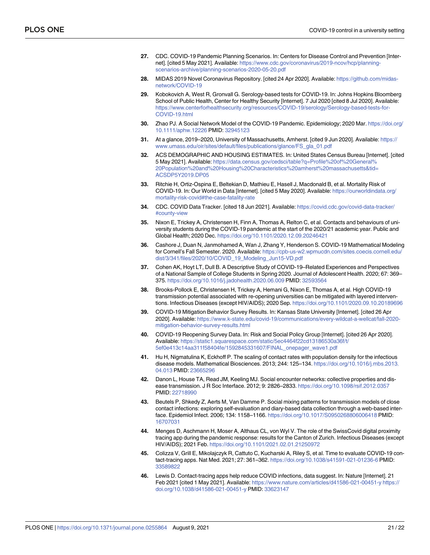- <span id="page-21-0"></span>**[27](#page-7-0).** CDC. COVID-19 Pandemic Planning Scenarios. In: Centers for Disease Control and Prevention [Internet]. [cited 5 May 2021]. Available: [https://www.cdc.gov/coronavirus/2019-ncov/hcp/planning](https://www.cdc.gov/coronavirus/2019-ncov/hcp/planning-scenarios-archive/planning-scenarios-2020-05-20.pdf)[scenarios-archive/planning-scenarios-2020-05-20.pdf](https://www.cdc.gov/coronavirus/2019-ncov/hcp/planning-scenarios-archive/planning-scenarios-2020-05-20.pdf)
- **[28](#page-7-0).** MIDAS 2019 Novel Coronavirus Repository. [cited 24 Apr 2020]. Available: [https://github.com/midas](https://github.com/midas-network/COVID-19)[network/COVID-19](https://github.com/midas-network/COVID-19)
- **[29](#page-8-0).** Kobokovich A, West R, Gronvall G. Serology-based tests for COVID-19. In: Johns Hopkins Bloomberg School of Public Health, Center for Healthy Security [Internet]. 7 Jul 2020 [cited 8 Jul 2020]. Available: [https://www.centerforhealthsecurity.org/resources/COVID-19/serology/Serology-based-tests-for-](https://www.centerforhealthsecurity.org/resources/COVID-19/serology/Serology-based-tests-for-COVID-19.html)[COVID-19.html](https://www.centerforhealthsecurity.org/resources/COVID-19/serology/Serology-based-tests-for-COVID-19.html)
- **[30](#page-8-0).** Zhao PJ. A Social Network Model of the COVID-19 Pandemic. Epidemiology; 2020 Mar. [https://doi.org/](https://doi.org/10.1111/aphw.12226) [10.1111/aphw.12226](https://doi.org/10.1111/aphw.12226) PMID: [32945123](http://www.ncbi.nlm.nih.gov/pubmed/32945123)
- **[31](#page-8-0).** At a glance, 2019–2020, University of Massachusetts, Amherst. [cited 9 Jun 2020]. Available: [https://](https://www.umass.edu/oir/sites/default/files/publications/glance/FS_gla_01.pdf) [www.umass.edu/oir/sites/default/files/publications/glance/FS\\_gla\\_01.pdf](https://www.umass.edu/oir/sites/default/files/publications/glance/FS_gla_01.pdf)
- **[32](#page-9-0).** ACS DEMOGRAPHIC AND HOUSING ESTIMATES. In: United States Census Bureau [Internet]. [cited 5 May 2021]. Available: [https://data.census.gov/cedsci/table?q=Profile%20of%20General%](https://data.census.gov/cedsci/table?q=Profile%20of%20General%20Population%20and%20Housing%20Characteristics%20amherst%20massachusetts&tid=ACSDP5Y2019.DP05) [20Population%20and%20Housing%20Characteristics%20amherst%20massachusetts&tid=](https://data.census.gov/cedsci/table?q=Profile%20of%20General%20Population%20and%20Housing%20Characteristics%20amherst%20massachusetts&tid=ACSDP5Y2019.DP05) [ACSDP5Y2019.DP05](https://data.census.gov/cedsci/table?q=Profile%20of%20General%20Population%20and%20Housing%20Characteristics%20amherst%20massachusetts&tid=ACSDP5Y2019.DP05)
- **[33](#page-9-0).** Ritchie H, Ortiz-Ospina E, Beltekian D, Mathieu E, Hasell J, Macdonald B, et al. Mortality Risk of COVID-19. In: Our World in Data [Internet]. [cited 5 May 2020]. Available: [https://ourworldindata.org/](https://ourworldindata.org/mortality-risk-covid#the-case-fatality-rate) [mortality-risk-covid#the-case-fatality-rate](https://ourworldindata.org/mortality-risk-covid#the-case-fatality-rate)
- **[34](#page-9-0).** CDC. COVID Data Tracker. [cited 18 Jun 2021]. Available: [https://covid.cdc.gov/covid-data-tracker/](https://covid.cdc.gov/covid-data-tracker/#county-view) [#county-view](https://covid.cdc.gov/covid-data-tracker/#county-view)
- **[35](#page-10-0).** Nixon E, Trickey A, Christensen H, Finn A, Thomas A, Relton C, et al. Contacts and behaviours of university students during the COVID-19 pandemic at the start of the 2020/21 academic year. Public and Global Health; 2020 Dec. <https://doi.org/10.1101/2020.12.09.20246421>
- **[36](#page-10-0).** Cashore J, Duan N, Janmohamed A, Wan J, Zhang Y, Henderson S. COVID-19 Mathematical Modeling for Cornell's Fall Semester. 2020. Available: [https://cpb-us-w2.wpmucdn.com/sites.coecis.cornell.edu/](https://cpb-us-w2.wpmucdn.com/sites.coecis.cornell.edu/dist/3/341/files/2020/10/COVID_19_Modeling_Jun15-VD.pdf) [dist/3/341/files/2020/10/COVID\\_19\\_Modeling\\_Jun15-VD.pdf](https://cpb-us-w2.wpmucdn.com/sites.coecis.cornell.edu/dist/3/341/files/2020/10/COVID_19_Modeling_Jun15-VD.pdf)
- **[37](#page-10-0).** Cohen AK, Hoyt LT, Dull B. A Descriptive Study of COVID-19–Related Experiences and Perspectives of a National Sample of College Students in Spring 2020. Journal of Adolescent Health. 2020; 67: 369– 375. <https://doi.org/10.1016/j.jadohealth.2020.06.009> PMID: [32593564](http://www.ncbi.nlm.nih.gov/pubmed/32593564)
- **[38](#page-10-0).** Brooks-Pollock E, Christensen H, Trickey A, Hemani G, Nixon E, Thomas A, et al. High COVID-19 transmission potential associated with re-opening universities can be mitigated with layered interventions. Infectious Diseases (except HIV/AIDS); 2020 Sep. <https://doi.org/10.1101/2020.09.10.20189696>
- **[39](#page-16-0).** COVID-19 Mitigation Behavior Survey Results. In: Kansas State University [Internet]. [cited 26 Apr 2020]. Available: [https://www.k-state.edu/covid-19/communications/every-wildcat-a-wellcat/fall-2020](https://www.k-state.edu/covid-19/communications/every-wildcat-a-wellcat/fall-2020-mitigation-behavior-survey-results.html) [mitigation-behavior-survey-results.html](https://www.k-state.edu/covid-19/communications/every-wildcat-a-wellcat/fall-2020-mitigation-behavior-survey-results.html)
- **[40](#page-10-0).** COVID-19 Reopening Survey Data. In: Risk and Social Policy Group [Internet]. [cited 26 Apr 2020]. Available: [https://static1.squarespace.com/static/5ec4464f22cd13186530a36f/t/](https://static1.squarespace.com/static/5ec4464f22cd13186530a36f/t/5ef0e413c14aa311f58404fe/1592845331607/FINAL_onepager_wave1.pdf) [5ef0e413c14aa311f58404fe/1592845331607/FINAL\\_onepager\\_wave1.pdf](https://static1.squarespace.com/static/5ec4464f22cd13186530a36f/t/5ef0e413c14aa311f58404fe/1592845331607/FINAL_onepager_wave1.pdf)
- **[41](#page-10-0).** Hu H, Nigmatulina K, Eckhoff P. The scaling of contact rates with population density for the infectious disease models. Mathematical Biosciences. 2013; 244: 125–134. [https://doi.org/10.1016/j.mbs.2013.](https://doi.org/10.1016/j.mbs.2013.04.013) [04.013](https://doi.org/10.1016/j.mbs.2013.04.013) PMID: [23665296](http://www.ncbi.nlm.nih.gov/pubmed/23665296)
- **[42](#page-10-0).** Danon L, House TA, Read JM, Keeling MJ. Social encounter networks: collective properties and disease transmission. J R Soc Interface. 2012; 9: 2826–2833. <https://doi.org/10.1098/rsif.2012.0357> PMID: [22718990](http://www.ncbi.nlm.nih.gov/pubmed/22718990)
- **[43](#page-10-0).** Beutels P, Shkedy Z, Aerts M, Van Damme P. Social mixing patterns for transmission models of close contact infections: exploring self-evaluation and diary-based data collection through a web-based interface. Epidemiol Infect. 2006; 134: 1158–1166. <https://doi.org/10.1017/S0950268806006418> PMID: [16707031](http://www.ncbi.nlm.nih.gov/pubmed/16707031)
- **[44](#page-16-0).** Menges D, Aschmann H, Moser A, Althaus CL, von Wyl V. The role of the SwissCovid digital proximity tracing app during the pandemic response: results for the Canton of Zurich. Infectious Diseases (except HIV/AIDS); 2021 Feb. <https://doi.org/10.1101/2021.02.01.21250972>
- **45.** Colizza V, Grill E, Mikolajczyk R, Cattuto C, Kucharski A, Riley S, et al. Time to evaluate COVID-19 contact-tracing apps. Nat Med. 2021; 27: 361–362. <https://doi.org/10.1038/s41591-021-01236-6> PMID: [33589822](http://www.ncbi.nlm.nih.gov/pubmed/33589822)
- **46.** Lewis D. Contact-tracing apps help reduce COVID infections, data suggest. In: Nature [Internet]. 21 Feb 2021 [cited 1 May 2021]. Available: <https://www.nature.com/articles/d41586-021-00451-y> [https://](https://doi.org/10.1038/d41586-021-00451-y) [doi.org/10.1038/d41586-021-00451-y](https://doi.org/10.1038/d41586-021-00451-y) PMID: [33623147](http://www.ncbi.nlm.nih.gov/pubmed/33623147)